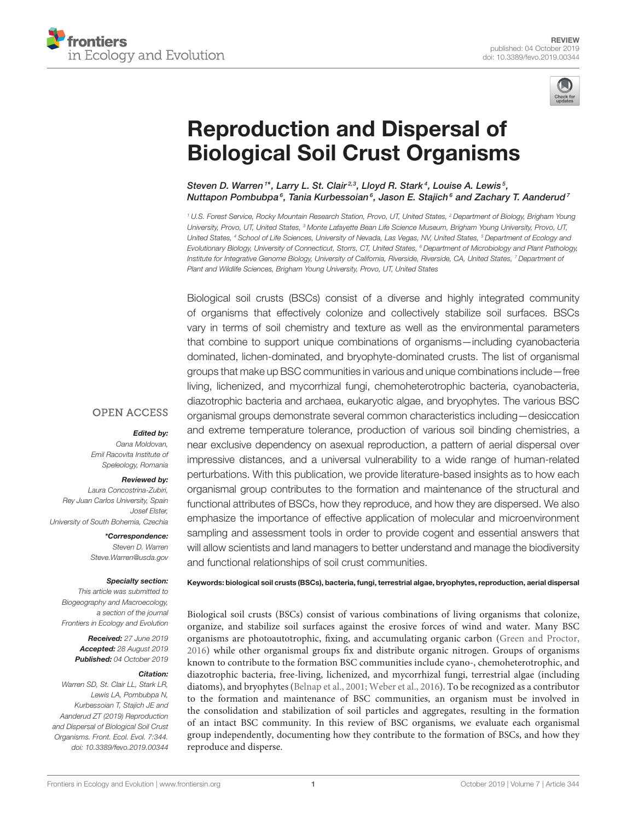



# Reproduction and Dispersal of [Biological Soil Crust Organisms](https://www.frontiersin.org/articles/10.3389/fevo.2019.00344/full)

[Steven D. Warren](http://loop.frontiersin.org/people/612733/overview)<sup>1\*</sup>, [Larry L. St. Clair](http://loop.frontiersin.org/people/799225/overview)<sup>2,3</sup>, [Lloyd R. Stark](http://loop.frontiersin.org/people/288806/overview)<sup>4</sup>, [Louise A. Lewis](http://loop.frontiersin.org/people/177460/overview)<sup>5</sup>, [Nuttapon Pombubpa](http://loop.frontiersin.org/people/782637/overview)°, [Tania Kurbessoian](http://loop.frontiersin.org/people/803347/overview)°, [Jason E. Stajich](http://loop.frontiersin.org/people/23133/overview)° and [Zachary T. Aanderud](http://loop.frontiersin.org/people/196176/overview)'

*<sup>1</sup> U.S. Forest Service, Rocky Mountain Research Station, Provo, UT, United States, <sup>2</sup> Department of Biology, Brigham Young University, Provo, UT, United States, <sup>3</sup> Monte Lafayette Bean Life Science Museum, Brigham Young University, Provo, UT, United States, <sup>4</sup> School of Life Sciences, University of Nevada, Las Vegas, NV, United States, <sup>5</sup> Department of Ecology and Evolutionary Biology, University of Connecticut, Storrs, CT, United States, <sup>6</sup> Department of Microbiology and Plant Pathology, Institute for Integrative Genome Biology, University of California, Riverside, Riverside, CA, United States, <sup>7</sup> Department of Plant and Wildlife Sciences, Brigham Young University, Provo, UT, United States*

Biological soil crusts (BSCs) consist of a diverse and highly integrated community of organisms that effectively colonize and collectively stabilize soil surfaces. BSCs vary in terms of soil chemistry and texture as well as the environmental parameters that combine to support unique combinations of organisms—including cyanobacteria dominated, lichen-dominated, and bryophyte-dominated crusts. The list of organismal groups that make up BSC communities in various and unique combinations include—free living, lichenized, and mycorrhizal fungi, chemoheterotrophic bacteria, cyanobacteria, diazotrophic bacteria and archaea, eukaryotic algae, and bryophytes. The various BSC organismal groups demonstrate several common characteristics including—desiccation and extreme temperature tolerance, production of various soil binding chemistries, a near exclusive dependency on asexual reproduction, a pattern of aerial dispersal over impressive distances, and a universal vulnerability to a wide range of human-related perturbations. With this publication, we provide literature-based insights as to how each organismal group contributes to the formation and maintenance of the structural and functional attributes of BSCs, how they reproduce, and how they are dispersed. We also emphasize the importance of effective application of molecular and microenvironment sampling and assessment tools in order to provide cogent and essential answers that will allow scientists and land managers to better understand and manage the biodiversity and functional relationships of soil crust communities.

#### **OPEN ACCESS**

#### Edited by:

*Oana Moldovan, Emil Racovita Institute of Speleology, Romania*

#### Reviewed by:

*Laura Concostrina-Zubiri, Rey Juan Carlos University, Spain Josef Elster, University of South Bohemia, Czechia*

> \*Correspondence: *Steven D. Warren [Steve.Warren@usda.gov](mailto:Steve.Warren@usda.gov)*

#### Specialty section:

*This article was submitted to Biogeography and Macroecology, a section of the journal Frontiers in Ecology and Evolution*

> Received: *27 June 2019* Accepted: *28 August 2019* Published: *04 October 2019*

#### Citation:

*Warren SD, St. Clair LL, Stark LR, Lewis LA, Pombubpa N, Kurbessoian T, Stajich JE and Aanderud ZT (2019) Reproduction and Dispersal of Biological Soil Crust Organisms. Front. Ecol. Evol. 7:344. doi: [10.3389/fevo.2019.00344](https://doi.org/10.3389/fevo.2019.00344)*

Keywords: biological soil crusts (BSCs), bacteria, fungi, terrestrial algae, bryophytes, reproduction, aerial dispersal

Biological soil crusts (BSCs) consist of various combinations of living organisms that colonize, organize, and stabilize soil surfaces against the erosive forces of wind and water. Many BSC organisms are photoautotrophic, fixing, and accumulating organic carbon [\(Green and Proctor,](#page-12-0) [2016\)](#page-12-0) while other organismal groups fix and distribute organic nitrogen. Groups of organisms known to contribute to the formation BSC communities include cyano-, chemoheterotrophic, and diazotrophic bacteria, free-living, lichenized, and mycorrhizal fungi, terrestrial algae (including diatoms), and bryophytes [\(Belnap et al., 2001;](#page-10-0) [Weber et al., 2016\)](#page-16-0). To be recognized as a contributor to the formation and maintenance of BSC communities, an organism must be involved in the consolidation and stabilization of soil particles and aggregates, resulting in the formation of an intact BSC community. In this review of BSC organisms, we evaluate each organismal group independently, documenting how they contribute to the formation of BSCs, and how they reproduce and disperse.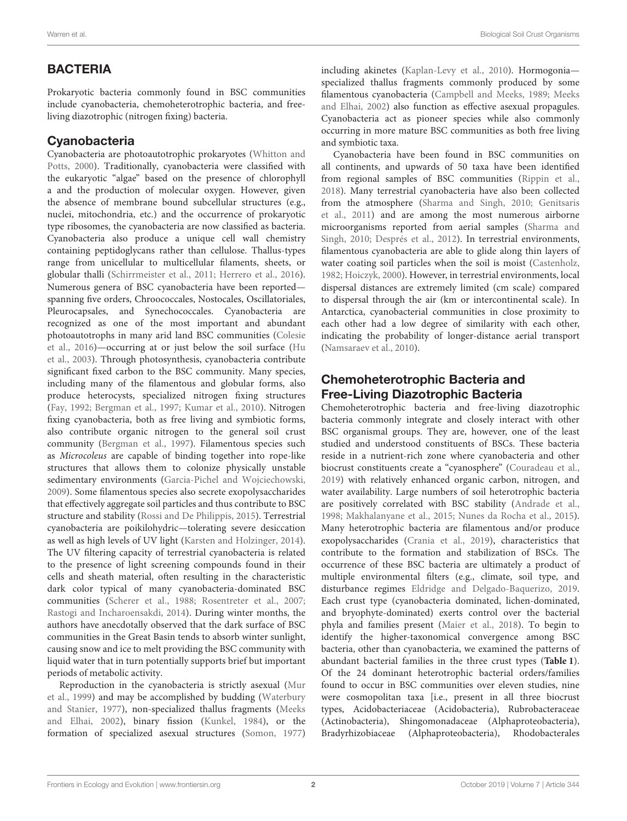# BACTERIA

Prokaryotic bacteria commonly found in BSC communities include cyanobacteria, chemoheterotrophic bacteria, and freeliving diazotrophic (nitrogen fixing) bacteria.

# **Cyanobacteria**

Cyanobacteria are photoautotrophic prokaryotes (Whitton and Potts, [2000\)](#page-16-1). Traditionally, cyanobacteria were classified with the eukaryotic "algae" based on the presence of chlorophyll a and the production of molecular oxygen. However, given the absence of membrane bound subcellular structures (e.g., nuclei, mitochondria, etc.) and the occurrence of prokaryotic type ribosomes, the cyanobacteria are now classified as bacteria. Cyanobacteria also produce a unique cell wall chemistry containing peptidoglycans rather than cellulose. Thallus-types range from unicellular to multicellular filaments, sheets, or globular thalli [\(Schirrmeister et al., 2011;](#page-14-0) [Herrero et al., 2016\)](#page-12-1). Numerous genera of BSC cyanobacteria have been reported spanning five orders, Chroococcales, Nostocales, Oscillatoriales, Pleurocapsales, and Synechococcales. Cyanobacteria are recognized as one of the most important and abundant photoautotrophs in many arid land BSC communities (Colesie et al., [2016\)](#page-11-0)—occurring at or just below the soil surface (Hu et al., [2003\)](#page-12-2). Through photosynthesis, cyanobacteria contribute significant fixed carbon to the BSC community. Many species, including many of the filamentous and globular forms, also produce heterocysts, specialized nitrogen fixing structures [\(Fay, 1992;](#page-11-1) [Bergman et al., 1997;](#page-10-1) [Kumar et al., 2010\)](#page-13-0). Nitrogen fixing cyanobacteria, both as free living and symbiotic forms, also contribute organic nitrogen to the general soil crust community [\(Bergman et al., 1997\)](#page-10-1). Filamentous species such as Microcoleus are capable of binding together into rope-like structures that allows them to colonize physically unstable sedimentary environments [\(Garcia-Pichel and Wojciechowski,](#page-12-3) [2009\)](#page-12-3). Some filamentous species also secrete exopolysaccharides that effectively aggregate soil particles and thus contribute to BSC structure and stability [\(Rossi and De Philippis, 2015\)](#page-14-1). Terrestrial cyanobacteria are poikilohydric—tolerating severe desiccation as well as high levels of UV light [\(Karsten and Holzinger, 2014\)](#page-12-4). The UV filtering capacity of terrestrial cyanobacteria is related to the presence of light screening compounds found in their cells and sheath material, often resulting in the characteristic dark color typical of many cyanobacteria-dominated BSC communities [\(Scherer et al., 1988;](#page-14-2) [Rosentreter et al., 2007;](#page-14-3) [Rastogi and Incharoensakdi, 2014\)](#page-14-4). During winter months, the authors have anecdotally observed that the dark surface of BSC communities in the Great Basin tends to absorb winter sunlight, causing snow and ice to melt providing the BSC community with liquid water that in turn potentially supports brief but important periods of metabolic activity.

Reproduction in the cyanobacteria is strictly asexual (Mur et al., [1999\)](#page-13-1) and may be accomplished by budding (Waterbury and Stanier, [1977\)](#page-16-2), non-specialized thallus fragments (Meeks and Elhai, [2002\)](#page-13-2), binary fission [\(Kunkel, 1984\)](#page-13-3), or the formation of specialized asexual structures [\(Somon, 1977\)](#page-15-0) including akinetes [\(Kaplan-Levy et al., 2010\)](#page-12-5). Hormogonia specialized thallus fragments commonly produced by some filamentous cyanobacteria [\(Campbell and Meeks, 1989;](#page-11-2) Meeks and Elhai, [2002\)](#page-13-2) also function as effective asexual propagules. Cyanobacteria act as pioneer species while also commonly occurring in more mature BSC communities as both free living and symbiotic taxa.

Cyanobacteria have been found in BSC communities on all continents, and upwards of 50 taxa have been identified from regional samples of BSC communities [\(Rippin et al.,](#page-14-5) [2018\)](#page-14-5). Many terrestrial cyanobacteria have also been collected from the atmosphere [\(Sharma and Singh, 2010;](#page-14-6) Genitsaris et al., [2011\)](#page-12-6) and are among the most numerous airborne microorganisms reported from aerial samples (Sharma and Singh, [2010;](#page-14-6) [Després et al., 2012\)](#page-11-3). In terrestrial environments, filamentous cyanobacteria are able to glide along thin layers of water coating soil particles when the soil is moist [\(Castenholz,](#page-11-4) [1982;](#page-11-4) [Hoiczyk, 2000\)](#page-12-7). However, in terrestrial environments, local dispersal distances are extremely limited (cm scale) compared to dispersal through the air (km or intercontinental scale). In Antarctica, cyanobacterial communities in close proximity to each other had a low degree of similarity with each other, indicating the probability of longer-distance aerial transport [\(Namsaraev et al., 2010\)](#page-13-4).

# Chemoheterotrophic Bacteria and Free-Living Diazotrophic Bacteria

Chemoheterotrophic bacteria and free-living diazotrophic bacteria commonly integrate and closely interact with other BSC organismal groups. They are, however, one of the least studied and understood constituents of BSCs. These bacteria reside in a nutrient-rich zone where cyanobacteria and other biocrust constituents create a "cyanosphere" [\(Couradeau et al.,](#page-11-5) [2019\)](#page-11-5) with relatively enhanced organic carbon, nitrogen, and water availability. Large numbers of soil heterotrophic bacteria are positively correlated with BSC stability [\(Andrade et al.,](#page-10-2) [1998;](#page-10-2) [Makhalanyane et al., 2015;](#page-13-5) [Nunes da Rocha et al., 2015\)](#page-14-7). Many heterotrophic bacteria are filamentous and/or produce exopolysaccharides [\(Crania et al., 2019\)](#page-11-6), characteristics that contribute to the formation and stabilization of BSCs. The occurrence of these BSC bacteria are ultimately a product of multiple environmental filters (e.g., climate, soil type, and disturbance regimes [Eldridge and Delgado-Baquerizo, 2019.](#page-11-7) Each crust type (cyanobacteria dominated, lichen-dominated, and bryophyte-dominated) exerts control over the bacterial phyla and families present [\(Maier et al., 2018\)](#page-13-6). To begin to identify the higher-taxonomical convergence among BSC bacteria, other than cyanobacteria, we examined the patterns of abundant bacterial families in the three crust types (**[Table 1](#page-3-0)**). Of the 24 dominant heterotrophic bacterial orders/families found to occur in BSC communities over eleven studies, nine were cosmopolitan taxa [i.e., present in all three biocrust types, Acidobacteriaceae (Acidobacteria), Rubrobacteraceae (Actinobacteria), Shingomonadaceae (Alphaproteobacteria), Bradyrhizobiaceae (Alphaproteobacteria), Rhodobacterales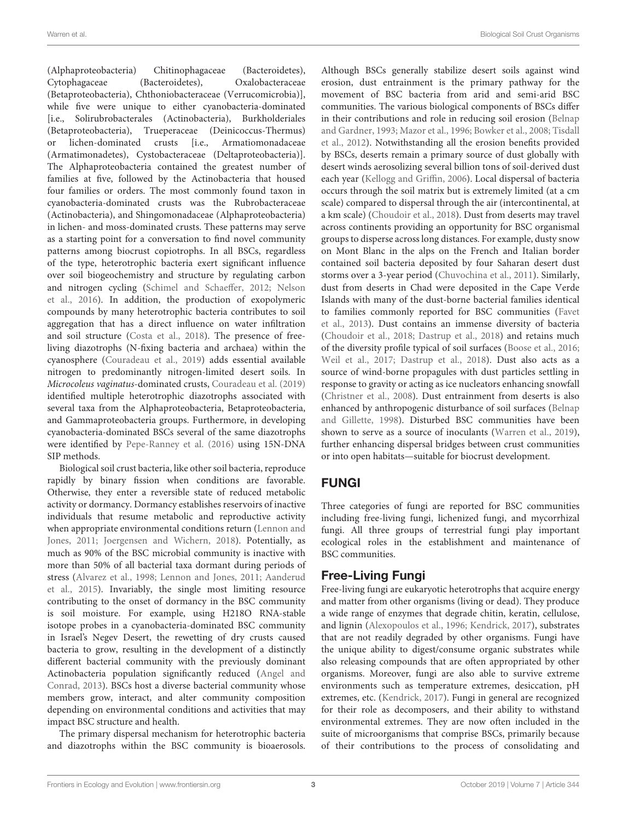(Alphaproteobacteria) Chitinophagaceae (Bacteroidetes), Cytophagaceae (Bacteroidetes), Oxalobacteraceae (Betaproteobacteria), Chthoniobacteraceae (Verrucomicrobia)], while five were unique to either cyanobacteria-dominated [i.e., Solirubrobacterales (Actinobacteria), Burkholderiales (Betaproteobacteria), Trueperaceae (Deinicoccus-Thermus) or lichen-dominated crusts [i.e., Armatiomonadaceae (Armatimonadetes), Cystobacteraceae (Deltaproteobacteria)]. The Alphaproteobacteria contained the greatest number of families at five, followed by the Actinobacteria that housed four families or orders. The most commonly found taxon in cyanobacteria-dominated crusts was the Rubrobacteraceae (Actinobacteria), and Shingomonadaceae (Alphaproteobacteria) in lichen- and moss-dominated crusts. These patterns may serve as a starting point for a conversation to find novel community patterns among biocrust copiotrophs. In all BSCs, regardless of the type, heterotrophic bacteria exert significant influence over soil biogeochemistry and structure by regulating carbon and nitrogen cycling [\(Schimel and Schaeffer, 2012;](#page-14-8) Nelson et al., [2016\)](#page-13-7). In addition, the production of exopolymeric compounds by many heterotrophic bacteria contributes to soil aggregation that has a direct influence on water infiltration and soil structure [\(Costa et al., 2018\)](#page-11-8). The presence of freeliving diazotrophs (N-fixing bacteria and archaea) within the cyanosphere [\(Couradeau et al., 2019\)](#page-11-5) adds essential available nitrogen to predominantly nitrogen-limited desert soils. In Microcoleus vaginatus-dominated crusts, [Couradeau et al. \(2019\)](#page-11-5) identified multiple heterotrophic diazotrophs associated with several taxa from the Alphaproteobacteria, Betaproteobacteria, and Gammaproteobacteria groups. Furthermore, in developing cyanobacteria-dominated BSCs several of the same diazotrophs were identified by [Pepe-Ranney et al. \(2016\)](#page-14-9) using 15N-DNA SIP methods.

Biological soil crust bacteria, like other soil bacteria, reproduce rapidly by binary fission when conditions are favorable. Otherwise, they enter a reversible state of reduced metabolic activity or dormancy. Dormancy establishes reservoirs of inactive individuals that resume metabolic and reproductive activity when appropriate environmental conditions return (Lennon and Jones, [2011;](#page-13-8) [Joergensen and Wichern, 2018\)](#page-12-8). Potentially, as much as 90% of the BSC microbial community is inactive with more than 50% of all bacterial taxa dormant during periods of stress [\(Alvarez et al., 1998;](#page-10-3) [Lennon and Jones, 2011;](#page-13-8) Aanderud et al., [2015\)](#page-10-4). Invariably, the single most limiting resource contributing to the onset of dormancy in the BSC community is soil moisture. For example, using H218O RNA-stable isotope probes in a cyanobacteria-dominated BSC community in Israel's Negev Desert, the rewetting of dry crusts caused bacteria to grow, resulting in the development of a distinctly different bacterial community with the previously dominant Actinobacteria population significantly reduced (Angel and Conrad, [2013\)](#page-10-5). BSCs host a diverse bacterial community whose members grow, interact, and alter community composition depending on environmental conditions and activities that may impact BSC structure and health.

The primary dispersal mechanism for heterotrophic bacteria and diazotrophs within the BSC community is bioaerosols. Although BSCs generally stabilize desert soils against wind erosion, dust entrainment is the primary pathway for the movement of BSC bacteria from arid and semi-arid BSC communities. The various biological components of BSCs differ in their contributions and role in reducing soil erosion (Belnap and Gardner, [1993;](#page-10-6) [Mazor et al., 1996;](#page-13-9) [Bowker et al., 2008;](#page-10-7) Tisdall et al., [2012\)](#page-15-1). Notwithstanding all the erosion benefits provided by BSCs, deserts remain a primary source of dust globally with desert winds aerosolizing several billion tons of soil-derived dust each year [\(Kellogg and Griffin, 2006\)](#page-12-9). Local dispersal of bacteria occurs through the soil matrix but is extremely limited (at a cm scale) compared to dispersal through the air (intercontinental, at a km scale) [\(Choudoir et al., 2018\)](#page-11-9). Dust from deserts may travel across continents providing an opportunity for BSC organismal groups to disperse across long distances. For example, dusty snow on Mont Blanc in the alps on the French and Italian border contained soil bacteria deposited by four Saharan desert dust storms over a 3-year period [\(Chuvochina et al., 2011\)](#page-11-10). Similarly, dust from deserts in Chad were deposited in the Cape Verde Islands with many of the dust-borne bacterial families identical to families commonly reported for BSC communities (Favet et al., [2013\)](#page-11-11). Dust contains an immense diversity of bacteria [\(Choudoir et al., 2018;](#page-11-9) [Dastrup et al., 2018\)](#page-11-12) and retains much of the diversity profile typical of soil surfaces [\(Boose et al., 2016;](#page-10-8) [Weil et al., 2017;](#page-16-3) [Dastrup et al., 2018\)](#page-11-12). Dust also acts as a source of wind-borne propagules with dust particles settling in response to gravity or acting as ice nucleators enhancing snowfall [\(Christner et al., 2008\)](#page-11-13). Dust entrainment from deserts is also enhanced by anthropogenic disturbance of soil surfaces (Belnap and Gillette, [1998\)](#page-10-9). Disturbed BSC communities have been shown to serve as a source of inoculants [\(Warren et al., 2019\)](#page-15-2), further enhancing dispersal bridges between crust communities or into open habitats—suitable for biocrust development.

## FUNGI

Three categories of fungi are reported for BSC communities including free-living fungi, lichenized fungi, and mycorrhizal fungi. All three groups of terrestrial fungi play important ecological roles in the establishment and maintenance of BSC communities.

## Free-Living Fungi

Free-living fungi are eukaryotic heterotrophs that acquire energy and matter from other organisms (living or dead). They produce a wide range of enzymes that degrade chitin, keratin, cellulose, and lignin [\(Alexopoulos et al., 1996;](#page-10-10) [Kendrick, 2017\)](#page-12-10), substrates that are not readily degraded by other organisms. Fungi have the unique ability to digest/consume organic substrates while also releasing compounds that are often appropriated by other organisms. Moreover, fungi are also able to survive extreme environments such as temperature extremes, desiccation, pH extremes, etc. [\(Kendrick, 2017\)](#page-12-10). Fungi in general are recognized for their role as decomposers, and their ability to withstand environmental extremes. They are now often included in the suite of microorganisms that comprise BSCs, primarily because of their contributions to the process of consolidating and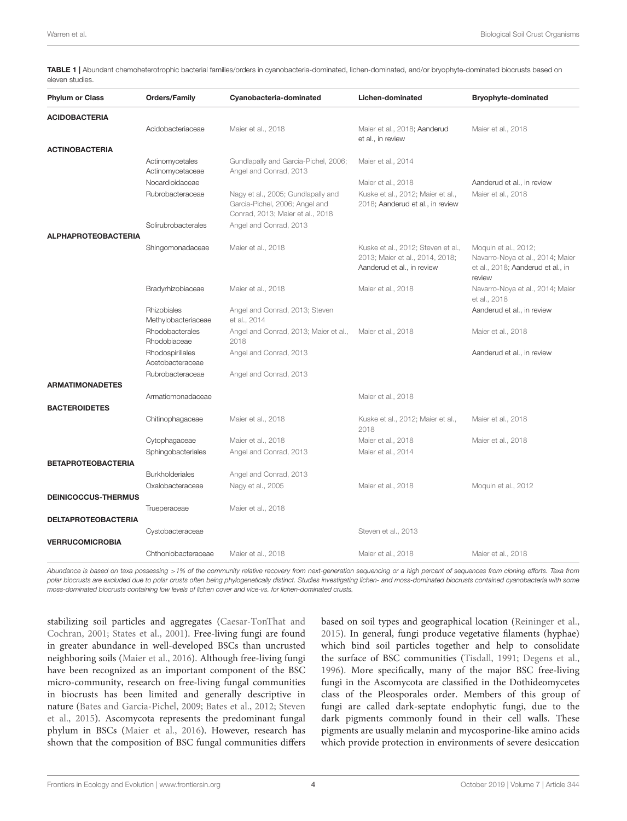<span id="page-3-0"></span>TABLE 1 | Abundant chemoheterotrophic bacterial families/orders in cyanobacteria-dominated, lichen-dominated, and/or bryophyte-dominated biocrusts based on eleven studies.

| <b>Phylum or Class</b>     | <b>Orders/Family</b>                 | Cyanobacteria-dominated                                                                                  | Lichen-dominated                                                                                    | <b>Bryophyte-dominated</b>                                                                              |
|----------------------------|--------------------------------------|----------------------------------------------------------------------------------------------------------|-----------------------------------------------------------------------------------------------------|---------------------------------------------------------------------------------------------------------|
| <b>ACIDOBACTERIA</b>       |                                      |                                                                                                          |                                                                                                     |                                                                                                         |
|                            | Acidobacteriaceae                    | Maier et al., 2018                                                                                       | Maier et al., 2018; Aanderud<br>et al., in review                                                   | Maier et al., 2018                                                                                      |
| <b>ACTINOBACTERIA</b>      |                                      |                                                                                                          |                                                                                                     |                                                                                                         |
|                            | Actinomycetales<br>Actinomycetaceae  | Gundlapally and Garcia-Pichel, 2006;<br>Angel and Conrad, 2013                                           | Maier et al., 2014                                                                                  |                                                                                                         |
|                            | Nocardioidaceae                      |                                                                                                          | Maier et al., 2018                                                                                  | Aanderud et al., in review                                                                              |
|                            | Rubrobacteraceae                     | Nagy et al., 2005; Gundlapally and<br>Garcia-Pichel, 2006; Angel and<br>Conrad, 2013; Maier et al., 2018 | Kuske et al., 2012; Maier et al.,<br>2018; Aanderud et al., in review                               | Maier et al., 2018                                                                                      |
|                            | Solirubrobacterales                  | Angel and Conrad, 2013                                                                                   |                                                                                                     |                                                                                                         |
| <b>ALPHAPROTEOBACTERIA</b> |                                      |                                                                                                          |                                                                                                     |                                                                                                         |
|                            | Shingomonadaceae                     | Maier et al., 2018                                                                                       | Kuske et al., 2012; Steven et al.,<br>2013; Maier et al., 2014, 2018;<br>Aanderud et al., in review | Moquin et al., 2012;<br>Navarro-Noya et al., 2014; Maier<br>et al., 2018; Aanderud et al., in<br>review |
|                            | Bradyrhizobiaceae                    | Maier et al., 2018                                                                                       | Maier et al., 2018                                                                                  | Navarro-Noya et al., 2014; Maier<br>et al., 2018                                                        |
|                            | Rhizobiales<br>Methylobacteriaceae   | Angel and Conrad, 2013; Steven<br>et al., 2014                                                           |                                                                                                     | Aanderud et al., in review                                                                              |
|                            | Rhodobacterales<br>Rhodobiaceae      | Angel and Conrad, 2013; Maier et al.,<br>2018                                                            | Maier et al., 2018                                                                                  | Maier et al., 2018                                                                                      |
|                            | Rhodospirillales<br>Acetobacteraceae | Angel and Conrad, 2013                                                                                   |                                                                                                     | Aanderud et al., in review                                                                              |
|                            | Rubrobacteraceae                     | Angel and Conrad, 2013                                                                                   |                                                                                                     |                                                                                                         |
| <b>ARMATIMONADETES</b>     |                                      |                                                                                                          |                                                                                                     |                                                                                                         |
|                            | Armatiomonadaceae                    |                                                                                                          | Maier et al., 2018                                                                                  |                                                                                                         |
| <b>BACTEROIDETES</b>       |                                      |                                                                                                          |                                                                                                     |                                                                                                         |
|                            | Chitinophagaceae                     | Maier et al., 2018                                                                                       | Kuske et al., 2012; Maier et al.,<br>2018                                                           | Maier et al., 2018                                                                                      |
|                            | Cytophagaceae                        | Maier et al., 2018                                                                                       | Maier et al., 2018                                                                                  | Maier et al., 2018                                                                                      |
| <b>BETAPROTEOBACTERIA</b>  | Sphingobacteriales                   | Angel and Conrad, 2013                                                                                   | Maier et al., 2014                                                                                  |                                                                                                         |
|                            | <b>Burkholderiales</b>               | Angel and Conrad, 2013                                                                                   |                                                                                                     |                                                                                                         |
|                            | Oxalobacteraceae                     | Nagy et al., 2005                                                                                        | Maier et al., 2018                                                                                  | Moquin et al., 2012                                                                                     |
| <b>DEINICOCCUS-THERMUS</b> |                                      |                                                                                                          |                                                                                                     |                                                                                                         |
|                            | Trueperaceae                         | Maier et al., 2018                                                                                       |                                                                                                     |                                                                                                         |
| <b>DELTAPROTEOBACTERIA</b> |                                      |                                                                                                          |                                                                                                     |                                                                                                         |
| <b>VERRUCOMICROBIA</b>     | Cystobacteraceae                     |                                                                                                          | Steven et al., 2013                                                                                 |                                                                                                         |
|                            | Chthoniobacteraceae                  | Maier et al., 2018                                                                                       | Maier et al., 2018                                                                                  | Maier et al., 2018                                                                                      |

*Abundance is based on taxa possessing* >*1% of the community relative recovery from next-generation sequencing or a high percent of sequences from cloning efforts. Taxa from polar biocrusts are excluded due to polar crusts often being phylogenetically distinct. Studies investigating lichen- and moss-dominated biocrusts contained cyanobacteria with some moss-dominated biocrusts containing low levels of lichen cover and vice-vs. for lichen-dominated crusts.*

stabilizing soil particles and aggregates (Caesar-TonThat and Cochran, [2001;](#page-11-14) [States et al., 2001\)](#page-15-5). Free-living fungi are found in greater abundance in well-developed BSCs than uncrusted neighboring soils [\(Maier et al., 2016\)](#page-13-15). Although free-living fungi have been recognized as an important component of the BSC micro-community, research on free-living fungal communities in biocrusts has been limited and generally descriptive in nature [\(Bates and Garcia-Pichel, 2009;](#page-10-11) [Bates et al., 2012;](#page-10-12) Steven et al., [2015\)](#page-15-6). Ascomycota represents the predominant fungal phylum in BSCs [\(Maier et al., 2016\)](#page-13-15). However, research has shown that the composition of BSC fungal communities differs based on soil types and geographical location [\(Reininger et al.,](#page-14-10) [2015\)](#page-14-10). In general, fungi produce vegetative filaments (hyphae) which bind soil particles together and help to consolidate the surface of BSC communities [\(Tisdall, 1991;](#page-15-7) [Degens et al.,](#page-11-15) [1996\)](#page-11-15). More specifically, many of the major BSC free-living fungi in the Ascomycota are classified in the Dothideomycetes class of the Pleosporales order. Members of this group of fungi are called dark-septate endophytic fungi, due to the dark pigments commonly found in their cell walls. These pigments are usually melanin and mycosporine-like amino acids which provide protection in environments of severe desiccation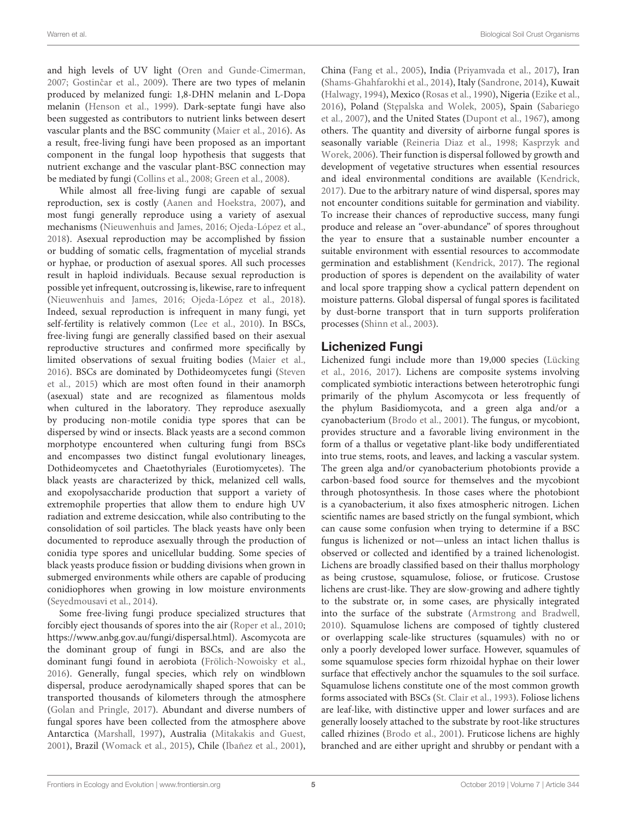Warren et al. **Biological Soil Crust Organisms** Crust Organisms Crust Organisms Crust Organisms Crust Organisms

and high levels of UV light [\(Oren and Gunde-Cimerman,](#page-14-11) [2007;](#page-14-11) Gostinčar et al., 2009). There are two types of melanin produced by melanized fungi: 1,8-DHN melanin and L-Dopa melanin [\(Henson et al., 1999\)](#page-12-13). Dark-septate fungi have also been suggested as contributors to nutrient links between desert vascular plants and the BSC community [\(Maier et al., 2016\)](#page-13-15). As a result, free-living fungi have been proposed as an important component in the fungal loop hypothesis that suggests that nutrient exchange and the vascular plant-BSC connection may be mediated by fungi [\(Collins et al., 2008;](#page-11-16) [Green et al., 2008\)](#page-12-14).

While almost all free-living fungi are capable of sexual reproduction, sex is costly [\(Aanen and Hoekstra, 2007\)](#page-10-13), and most fungi generally reproduce using a variety of asexual mechanisms [\(Nieuwenhuis and James, 2016;](#page-14-12) [Ojeda-López et al.,](#page-14-13) [2018\)](#page-14-13). Asexual reproduction may be accomplished by fission or budding of somatic cells, fragmentation of mycelial strands or hyphae, or production of asexual spores. All such processes result in haploid individuals. Because sexual reproduction is possible yet infrequent, outcrossing is, likewise, rare to infrequent [\(Nieuwenhuis and James, 2016;](#page-14-12) [Ojeda-López et al., 2018\)](#page-14-13). Indeed, sexual reproduction is infrequent in many fungi, yet self-fertility is relatively common [\(Lee et al., 2010\)](#page-13-16). In BSCs, free-living fungi are generally classified based on their asexual reproductive structures and confirmed more specifically by limited observations of sexual fruiting bodies [\(Maier et al.,](#page-13-15) [2016\)](#page-13-15). BSCs are dominated by Dothideomycetes fungi (Steven et al., [2015\)](#page-15-6) which are most often found in their anamorph (asexual) state and are recognized as filamentous molds when cultured in the laboratory. They reproduce asexually by producing non-motile conidia type spores that can be dispersed by wind or insects. Black yeasts are a second common morphotype encountered when culturing fungi from BSCs and encompasses two distinct fungal evolutionary lineages, Dothideomycetes and Chaetothyriales (Eurotiomycetes). The black yeasts are characterized by thick, melanized cell walls, and exopolysaccharide production that support a variety of extremophile properties that allow them to endure high UV radiation and extreme desiccation, while also contributing to the consolidation of soil particles. The black yeasts have only been documented to reproduce asexually through the production of conidia type spores and unicellular budding. Some species of black yeasts produce fission or budding divisions when grown in submerged environments while others are capable of producing conidiophores when growing in low moisture environments [\(Seyedmousavi et al., 2014\)](#page-14-14).

Some free-living fungi produce specialized structures that forcibly eject thousands of spores into the air [\(Roper et al., 2010;](#page-14-15) [https://www.anbg.gov.au/fungi/dispersal.html\)](https://www.anbg.gov.au/fungi/dispersal.html). Ascomycota are the dominant group of fungi in BSCs, and are also the dominant fungi found in aerobiota [\(Frölich-Nowoisky et al.,](#page-11-17) [2016\)](#page-11-17). Generally, fungal species, which rely on windblown dispersal, produce aerodynamically shaped spores that can be transported thousands of kilometers through the atmosphere [\(Golan and Pringle, 2017\)](#page-12-15). Abundant and diverse numbers of fungal spores have been collected from the atmosphere above Antarctica [\(Marshall, 1997\)](#page-13-17), Australia [\(Mitakakis and Guest,](#page-13-18) [2001\)](#page-13-18), Brazil [\(Womack et al., 2015\)](#page-16-4), Chile [\(Ibañez et al., 2001\)](#page-12-16), China [\(Fang et al., 2005\)](#page-11-18), India [\(Priyamvada et al., 2017\)](#page-14-16), Iran [\(Shams-Ghahfarokhi et al., 2014\)](#page-14-17), Italy [\(Sandrone, 2014\)](#page-14-18), Kuwait [\(Halwagy, 1994\)](#page-12-17), Mexico [\(Rosas et al., 1990\)](#page-14-19), Nigeria [\(Ezike et al.,](#page-11-19) [2016\)](#page-11-19), Poland (Stępalska and Wolek, 2005), Spain (Sabariego et al., [2007\)](#page-14-20), and the United States [\(Dupont et al., 1967\)](#page-11-20), among others. The quantity and diversity of airborne fungal spores is seasonally variable [\(Reineria Diaz et al., 1998;](#page-14-21) Kasprzyk and Worek, [2006\)](#page-12-18). Their function is dispersal followed by growth and development of vegetative structures when essential resources and ideal environmental conditions are available [\(Kendrick,](#page-12-10) [2017\)](#page-12-10). Due to the arbitrary nature of wind dispersal, spores may not encounter conditions suitable for germination and viability. To increase their chances of reproductive success, many fungi produce and release an "over-abundance" of spores throughout the year to ensure that a sustainable number encounter a suitable environment with essential resources to accommodate germination and establishment [\(Kendrick, 2017\)](#page-12-10). The regional production of spores is dependent on the availability of water and local spore trapping show a cyclical pattern dependent on moisture patterns. Global dispersal of fungal spores is facilitated by dust-borne transport that in turn supports proliferation processes [\(Shinn et al., 2003\)](#page-14-22).

## Lichenized Fungi

Lichenized fungi include more than 19,000 species (Lücking et al., [2016,](#page-13-19) [2017\)](#page-13-20). Lichens are composite systems involving complicated symbiotic interactions between heterotrophic fungi primarily of the phylum Ascomycota or less frequently of the phylum Basidiomycota, and a green alga and/or a cyanobacterium [\(Brodo et al., 2001\)](#page-11-21). The fungus, or mycobiont, provides structure and a favorable living environment in the form of a thallus or vegetative plant-like body undifferentiated into true stems, roots, and leaves, and lacking a vascular system. The green alga and/or cyanobacterium photobionts provide a carbon-based food source for themselves and the mycobiont through photosynthesis. In those cases where the photobiont is a cyanobacterium, it also fixes atmospheric nitrogen. Lichen scientific names are based strictly on the fungal symbiont, which can cause some confusion when trying to determine if a BSC fungus is lichenized or not—unless an intact lichen thallus is observed or collected and identified by a trained lichenologist. Lichens are broadly classified based on their thallus morphology as being crustose, squamulose, foliose, or fruticose. Crustose lichens are crust-like. They are slow-growing and adhere tightly to the substrate or, in some cases, are physically integrated into the surface of the substrate [\(Armstrong and Bradwell,](#page-10-14) [2010\)](#page-10-14). Squamulose lichens are composed of tightly clustered or overlapping scale-like structures (squamules) with no or only a poorly developed lower surface. However, squamules of some squamulose species form rhizoidal hyphae on their lower surface that effectively anchor the squamules to the soil surface. Squamulose lichens constitute one of the most common growth forms associated with BSCs [\(St. Clair et al., 1993\)](#page-15-9). Foliose lichens are leaf-like, with distinctive upper and lower surfaces and are generally loosely attached to the substrate by root-like structures called rhizines [\(Brodo et al., 2001\)](#page-11-21). Fruticose lichens are highly branched and are either upright and shrubby or pendant with a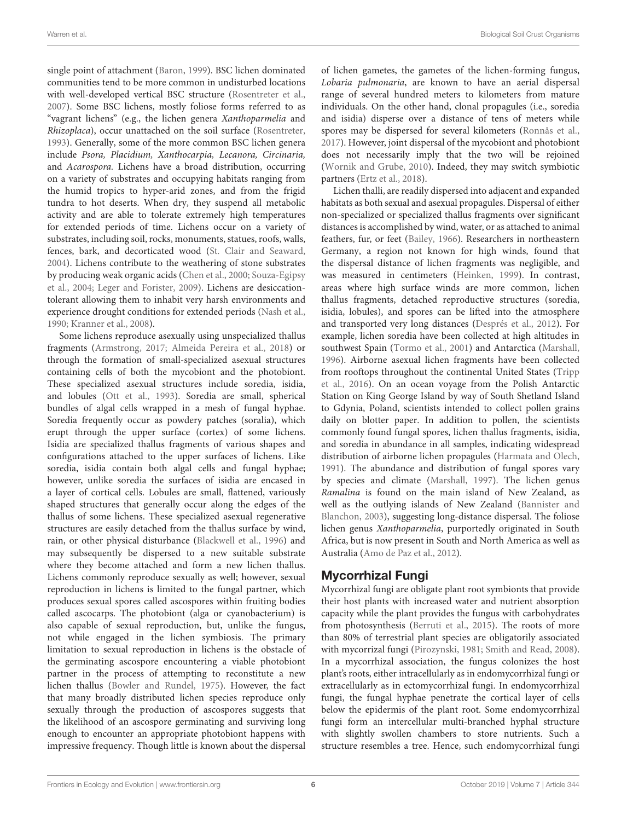single point of attachment [\(Baron, 1999\)](#page-10-15). BSC lichen dominated communities tend to be more common in undisturbed locations with well-developed vertical BSC structure [\(Rosentreter et al.,](#page-14-3) [2007\)](#page-14-3). Some BSC lichens, mostly foliose forms referred to as "vagrant lichens" (e.g., the lichen genera Xanthoparmelia and Rhizoplaca), occur unattached on the soil surface [\(Rosentreter,](#page-14-23) [1993\)](#page-14-23). Generally, some of the more common BSC lichen genera include Psora, Placidium, Xanthocarpia, Lecanora, Circinaria, and Acarospora. Lichens have a broad distribution, occurring on a variety of substrates and occupying habitats ranging from the humid tropics to hyper-arid zones, and from the frigid tundra to hot deserts. When dry, they suspend all metabolic activity and are able to tolerate extremely high temperatures for extended periods of time. Lichens occur on a variety of substrates, including soil, rocks, monuments, statues, roofs, walls, fences, bark, and decorticated wood [\(St. Clair and Seaward,](#page-15-10) [2004\)](#page-15-10). Lichens contribute to the weathering of stone substrates by producing weak organic acids [\(Chen et al., 2000;](#page-11-22) Souza-Egipsy et al., [2004;](#page-15-11) [Leger and Forister, 2009\)](#page-13-21). Lichens are desiccationtolerant allowing them to inhabit very harsh environments and experience drought conditions for extended periods [\(Nash et al.,](#page-13-22) [1990;](#page-13-22) [Kranner et al., 2008\)](#page-13-23).

Some lichens reproduce asexually using unspecialized thallus fragments [\(Armstrong, 2017;](#page-10-16) [Almeida Pereira et al., 2018\)](#page-10-17) or through the formation of small-specialized asexual structures containing cells of both the mycobiont and the photobiont. These specialized asexual structures include soredia, isidia, and lobules [\(Ott et al., 1993\)](#page-14-24). Soredia are small, spherical bundles of algal cells wrapped in a mesh of fungal hyphae. Soredia frequently occur as powdery patches (soralia), which erupt through the upper surface (cortex) of some lichens. Isidia are specialized thallus fragments of various shapes and configurations attached to the upper surfaces of lichens. Like soredia, isidia contain both algal cells and fungal hyphae; however, unlike soredia the surfaces of isidia are encased in a layer of cortical cells. Lobules are small, flattened, variously shaped structures that generally occur along the edges of the thallus of some lichens. These specialized asexual regenerative structures are easily detached from the thallus surface by wind, rain, or other physical disturbance [\(Blackwell et al., 1996\)](#page-10-18) and may subsequently be dispersed to a new suitable substrate where they become attached and form a new lichen thallus. Lichens commonly reproduce sexually as well; however, sexual reproduction in lichens is limited to the fungal partner, which produces sexual spores called ascospores within fruiting bodies called ascocarps. The photobiont (alga or cyanobacterium) is also capable of sexual reproduction, but, unlike the fungus, not while engaged in the lichen symbiosis. The primary limitation to sexual reproduction in lichens is the obstacle of the germinating ascospore encountering a viable photobiont partner in the process of attempting to reconstitute a new lichen thallus [\(Bowler and Rundel, 1975\)](#page-11-23). However, the fact that many broadly distributed lichen species reproduce only sexually through the production of ascospores suggests that the likelihood of an ascospore germinating and surviving long enough to encounter an appropriate photobiont happens with impressive frequency. Though little is known about the dispersal of lichen gametes, the gametes of the lichen-forming fungus, Lobaria pulmonaria, are known to have an aerial dispersal range of several hundred meters to kilometers from mature individuals. On the other hand, clonal propagules (i.e., soredia and isidia) disperse over a distance of tens of meters while spores may be dispersed for several kilometers [\(Ronnås et al.,](#page-14-25) [2017\)](#page-14-25). However, joint dispersal of the mycobiont and photobiont does not necessarily imply that the two will be rejoined [\(Wornik and Grube, 2010\)](#page-16-5). Indeed, they may switch symbiotic partners [\(Ertz et al., 2018\)](#page-11-24).

Lichen thalli, are readily dispersed into adjacent and expanded habitats as both sexual and asexual propagules. Dispersal of either non-specialized or specialized thallus fragments over significant distances is accomplished by wind, water, or as attached to animal feathers, fur, or feet [\(Bailey, 1966\)](#page-10-19). Researchers in northeastern Germany, a region not known for high winds, found that the dispersal distance of lichen fragments was negligible, and was measured in centimeters [\(Heinken, 1999\)](#page-12-19). In contrast, areas where high surface winds are more common, lichen thallus fragments, detached reproductive structures (soredia, isidia, lobules), and spores can be lifted into the atmosphere and transported very long distances [\(Després et al., 2012\)](#page-11-3). For example, lichen soredia have been collected at high altitudes in southwest Spain [\(Tormo et al., 2001\)](#page-15-12) and Antarctica [\(Marshall,](#page-13-24) [1996\)](#page-13-24). Airborne asexual lichen fragments have been collected from rooftops throughout the continental United States (Tripp et al., [2016\)](#page-15-13). On an ocean voyage from the Polish Antarctic Station on King George Island by way of South Shetland Island to Gdynia, Poland, scientists intended to collect pollen grains daily on blotter paper. In addition to pollen, the scientists commonly found fungal spores, lichen thallus fragments, isidia, and soredia in abundance in all samples, indicating widespread distribution of airborne lichen propagules [\(Harmata and Olech,](#page-12-20) [1991\)](#page-12-20). The abundance and distribution of fungal spores vary by species and climate [\(Marshall, 1997\)](#page-13-17). The lichen genus Ramalina is found on the main island of New Zealand, as well as the outlying islands of New Zealand (Bannister and Blanchon, [2003\)](#page-10-20), suggesting long-distance dispersal. The foliose lichen genus Xanthoparmelia, purportedly originated in South Africa, but is now present in South and North America as well as Australia [\(Amo de Paz et al., 2012\)](#page-10-21).

## Mycorrhizal Fungi

Mycorrhizal fungi are obligate plant root symbionts that provide their host plants with increased water and nutrient absorption capacity while the plant provides the fungus with carbohydrates from photosynthesis [\(Berruti et al., 2015\)](#page-10-22). The roots of more than 80% of terrestrial plant species are obligatorily associated with mycorrizal fungi [\(Pirozynski, 1981;](#page-14-26) [Smith and Read, 2008\)](#page-15-14). In a mycorrhizal association, the fungus colonizes the host plant's roots, either intracellularly as in endomycorrhizal fungi or extracellularly as in ectomycorrhizal fungi. In endomycorrhizal fungi, the fungal hyphae penetrate the cortical layer of cells below the epidermis of the plant root. Some endomycorrhizal fungi form an intercellular multi-branched hyphal structure with slightly swollen chambers to store nutrients. Such a structure resembles a tree. Hence, such endomycorrhizal fungi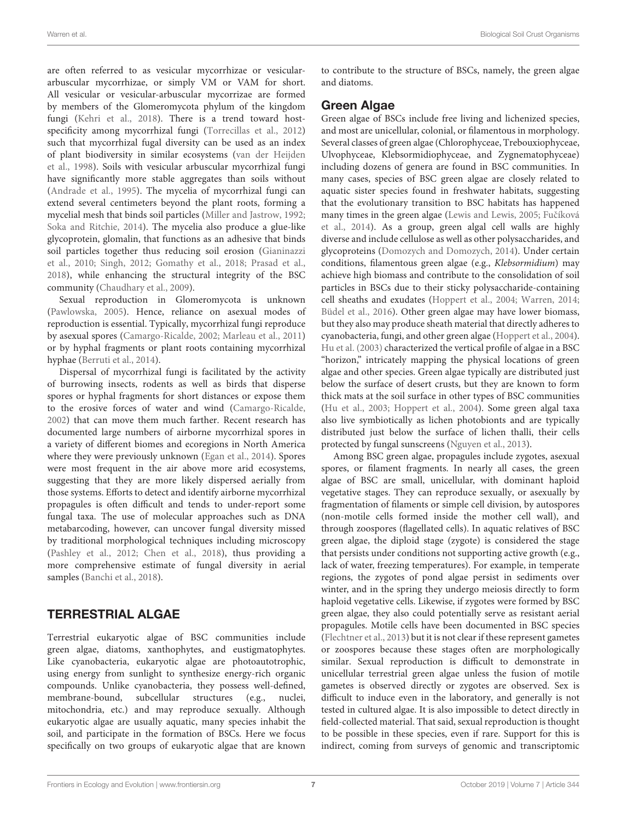are often referred to as vesicular mycorrhizae or vesiculararbuscular mycorrhizae, or simply VM or VAM for short. All vesicular or vesicular-arbuscular mycorrizae are formed by members of the Glomeromycota phylum of the kingdom fungi [\(Kehri et al., 2018\)](#page-12-21). There is a trend toward hostspecificity among mycorrhizal fungi [\(Torrecillas et al., 2012\)](#page-15-15) such that mycorrhizal fugal diversity can be used as an index of plant biodiversity in similar ecosystems (van der Heijden et al., [1998\)](#page-15-16). Soils with vesicular arbuscular mycorrhizal fungi have significantly more stable aggregates than soils without [\(Andrade et al., 1995\)](#page-10-23). The mycelia of mycorrhizal fungi can extend several centimeters beyond the plant roots, forming a mycelial mesh that binds soil particles [\(Miller and Jastrow, 1992;](#page-13-25) [Soka and Ritchie, 2014\)](#page-15-17). The mycelia also produce a glue-like glycoprotein, glomalin, that functions as an adhesive that binds soil particles together thus reducing soil erosion (Gianinazzi et al., [2010;](#page-12-22) [Singh, 2012;](#page-15-18) [Gomathy et al., 2018;](#page-12-23) [Prasad et al.,](#page-14-27) [2018\)](#page-14-27), while enhancing the structural integrity of the BSC community [\(Chaudhary et al., 2009\)](#page-11-25).

Sexual reproduction in Glomeromycota is unknown [\(Pawlowska, 2005\)](#page-14-28). Hence, reliance on asexual modes of reproduction is essential. Typically, mycorrhizal fungi reproduce by asexual spores [\(Camargo-Ricalde, 2002;](#page-11-26) [Marleau et al., 2011\)](#page-13-26) or by hyphal fragments or plant roots containing mycorrhizal hyphae [\(Berruti et al., 2014\)](#page-10-24).

Dispersal of mycorrhizal fungi is facilitated by the activity of burrowing insects, rodents as well as birds that disperse spores or hyphal fragments for short distances or expose them to the erosive forces of water and wind [\(Camargo-Ricalde,](#page-11-26) [2002\)](#page-11-26) that can move them much farther. Recent research has documented large numbers of airborne mycorrhizal spores in a variety of different biomes and ecoregions in North America where they were previously unknown [\(Egan et al., 2014\)](#page-11-27). Spores were most frequent in the air above more arid ecosystems, suggesting that they are more likely dispersed aerially from those systems. Efforts to detect and identify airborne mycorrhizal propagules is often difficult and tends to under-report some fungal taxa. The use of molecular approaches such as DNA metabarcoding, however, can uncover fungal diversity missed by traditional morphological techniques including microscopy [\(Pashley et al., 2012;](#page-14-29) [Chen et al., 2018\)](#page-11-28), thus providing a more comprehensive estimate of fungal diversity in aerial samples [\(Banchi et al., 2018\)](#page-10-25).

## TERRESTRIAL ALGAE

Terrestrial eukaryotic algae of BSC communities include green algae, diatoms, xanthophytes, and eustigmatophytes. Like cyanobacteria, eukaryotic algae are photoautotrophic, using energy from sunlight to synthesize energy-rich organic compounds. Unlike cyanobacteria, they possess well-defined, membrane-bound, subcellular structures (e.g., nuclei, mitochondria, etc.) and may reproduce sexually. Although eukaryotic algae are usually aquatic, many species inhabit the soil, and participate in the formation of BSCs. Here we focus specifically on two groups of eukaryotic algae that are known to contribute to the structure of BSCs, namely, the green algae and diatoms.

#### Green Algae

Green algae of BSCs include free living and lichenized species, and most are unicellular, colonial, or filamentous in morphology. Several classes of green algae (Chlorophyceae, Trebouxiophyceae, Ulvophyceae, Klebsormidiophyceae, and Zygnematophyceae) including dozens of genera are found in BSC communities. In many cases, species of BSC green algae are closely related to aquatic sister species found in freshwater habitats, suggesting that the evolutionary transition to BSC habitats has happened many times in the green algae [\(Lewis and Lewis, 2005;](#page-13-27) Fučíková et al., [2014\)](#page-12-24). As a group, green algal cell walls are highly diverse and include cellulose as well as other polysaccharides, and glycoproteins [\(Domozych and Domozych, 2014\)](#page-11-29). Under certain conditions, filamentous green algae (e.g., Klebsormidium) may achieve high biomass and contribute to the consolidation of soil particles in BSCs due to their sticky polysaccharide-containing cell sheaths and exudates [\(Hoppert et al., 2004;](#page-12-25) [Warren, 2014;](#page-15-19) [Büdel et al., 2016\)](#page-11-30). Other green algae may have lower biomass, but they also may produce sheath material that directly adheres to cyanobacteria, fungi, and other green algae [\(Hoppert et al., 2004\)](#page-12-25). [Hu et al. \(2003\)](#page-12-2) characterized the vertical profile of algae in a BSC "horizon," intricately mapping the physical locations of green algae and other species. Green algae typically are distributed just below the surface of desert crusts, but they are known to form thick mats at the soil surface in other types of BSC communities [\(Hu et al., 2003;](#page-12-2) [Hoppert et al., 2004\)](#page-12-25). Some green algal taxa also live symbiotically as lichen photobionts and are typically distributed just below the surface of lichen thalli, their cells protected by fungal sunscreens [\(Nguyen et al., 2013\)](#page-14-30).

Among BSC green algae, propagules include zygotes, asexual spores, or filament fragments. In nearly all cases, the green algae of BSC are small, unicellular, with dominant haploid vegetative stages. They can reproduce sexually, or asexually by fragmentation of filaments or simple cell division, by autospores (non-motile cells formed inside the mother cell wall), and through zoospores (flagellated cells). In aquatic relatives of BSC green algae, the diploid stage (zygote) is considered the stage that persists under conditions not supporting active growth (e.g., lack of water, freezing temperatures). For example, in temperate regions, the zygotes of pond algae persist in sediments over winter, and in the spring they undergo meiosis directly to form haploid vegetative cells. Likewise, if zygotes were formed by BSC green algae, they also could potentially serve as resistant aerial propagules. Motile cells have been documented in BSC species [\(Flechtner et al., 2013\)](#page-11-31) but it is not clear if these represent gametes or zoospores because these stages often are morphologically similar. Sexual reproduction is difficult to demonstrate in unicellular terrestrial green algae unless the fusion of motile gametes is observed directly or zygotes are observed. Sex is difficult to induce even in the laboratory, and generally is not tested in cultured algae. It is also impossible to detect directly in field-collected material. That said, sexual reproduction is thought to be possible in these species, even if rare. Support for this is indirect, coming from surveys of genomic and transcriptomic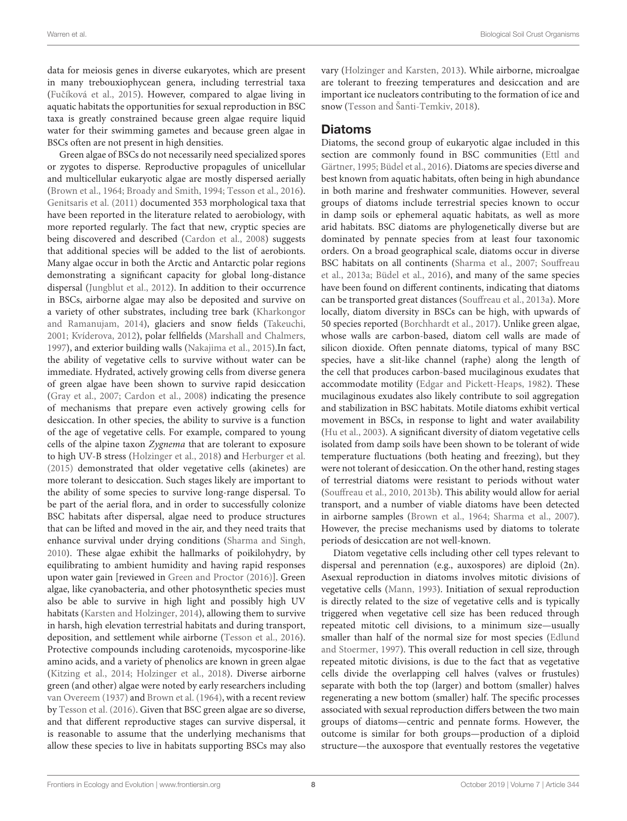data for meiosis genes in diverse eukaryotes, which are present in many trebouxiophycean genera, including terrestrial taxa (Fučíková et al., 2015). However, compared to algae living in aquatic habitats the opportunities for sexual reproduction in BSC taxa is greatly constrained because green algae require liquid water for their swimming gametes and because green algae in BSCs often are not present in high densities.

Green algae of BSCs do not necessarily need specialized spores or zygotes to disperse. Reproductive propagules of unicellular and multicellular eukaryotic algae are mostly dispersed aerially [\(Brown et al., 1964;](#page-11-32) [Broady and Smith, 1994;](#page-11-33) [Tesson et al., 2016\)](#page-15-20). [Genitsaris et al. \(2011\)](#page-12-6) documented 353 morphological taxa that have been reported in the literature related to aerobiology, with more reported regularly. The fact that new, cryptic species are being discovered and described [\(Cardon et al., 2008\)](#page-11-34) suggests that additional species will be added to the list of aerobionts. Many algae occur in both the Arctic and Antarctic polar regions demonstrating a significant capacity for global long-distance dispersal [\(Jungblut et al., 2012\)](#page-12-27). In addition to their occurrence in BSCs, airborne algae may also be deposited and survive on a variety of other substrates, including tree bark (Kharkongor and Ramanujam, [2014\)](#page-12-28), glaciers and snow fields [\(Takeuchi,](#page-15-21) [2001;](#page-15-21) [Kvíderova, 2012\)](#page-13-28), polar fellfields [\(Marshall and Chalmers,](#page-13-29) [1997\)](#page-13-29), and exterior building walls [\(Nakajima et al., 2015\)](#page-13-30).In fact, the ability of vegetative cells to survive without water can be immediate. Hydrated, actively growing cells from diverse genera of green algae have been shown to survive rapid desiccation [\(Gray et al., 2007;](#page-12-29) [Cardon et al., 2008\)](#page-11-34) indicating the presence of mechanisms that prepare even actively growing cells for desiccation. In other species, the ability to survive is a function of the age of vegetative cells. For example, compared to young cells of the alpine taxon Zygnema that are tolerant to exposure to high UV-B stress [\(Holzinger et al., 2018\)](#page-12-30) and [Herburger et al.](#page-12-31) [\(2015\)](#page-12-31) demonstrated that older vegetative cells (akinetes) are more tolerant to desiccation. Such stages likely are important to the ability of some species to survive long-range dispersal. To be part of the aerial flora, and in order to successfully colonize BSC habitats after dispersal, algae need to produce structures that can be lifted and moved in the air, and they need traits that enhance survival under drying conditions [\(Sharma and Singh,](#page-14-6) [2010\)](#page-14-6). These algae exhibit the hallmarks of poikilohydry, by equilibrating to ambient humidity and having rapid responses upon water gain [reviewed in [Green and Proctor \(2016\)](#page-12-0)]. Green algae, like cyanobacteria, and other photosynthetic species must also be able to survive in high light and possibly high UV habitats [\(Karsten and Holzinger, 2014\)](#page-12-4), allowing them to survive in harsh, high elevation terrestrial habitats and during transport, deposition, and settlement while airborne [\(Tesson et al., 2016\)](#page-15-20). Protective compounds including carotenoids, mycosporine-like amino acids, and a variety of phenolics are known in green algae [\(Kitzing et al., 2014;](#page-12-32) [Holzinger et al., 2018\)](#page-12-30). Diverse airborne green (and other) algae were noted by early researchers including [van Overeem \(1937\)](#page-15-22) and [Brown et al. \(1964\)](#page-11-32), with a recent review by [Tesson et al. \(2016\)](#page-15-20). Given that BSC green algae are so diverse, and that different reproductive stages can survive dispersal, it is reasonable to assume that the underlying mechanisms that allow these species to live in habitats supporting BSCs may also vary [\(Holzinger and Karsten, 2013\)](#page-12-33). While airborne, microalgae are tolerant to freezing temperatures and desiccation and are important ice nucleators contributing to the formation of ice and snow [\(Tesson and Šanti-Temkiv, 2018\)](#page-15-23).

#### Diatoms

Diatoms, the second group of eukaryotic algae included in this section are commonly found in BSC communities (Ettl and Gärtner, [1995;](#page-11-35) [Büdel et al., 2016\)](#page-11-30). Diatoms are species diverse and best known from aquatic habitats, often being in high abundance in both marine and freshwater communities. However, several groups of diatoms include terrestrial species known to occur in damp soils or ephemeral aquatic habitats, as well as more arid habitats. BSC diatoms are phylogenetically diverse but are dominated by pennate species from at least four taxonomic orders. On a broad geographical scale, diatoms occur in diverse BSC habitats on all continents [\(Sharma et al., 2007;](#page-14-31) Souffreau et al., [2013a;](#page-15-24) [Büdel et al., 2016\)](#page-11-30), and many of the same species have been found on different continents, indicating that diatoms can be transported great distances [\(Souffreau et al., 2013a\)](#page-15-24). More locally, diatom diversity in BSCs can be high, with upwards of 50 species reported [\(Borchhardt et al., 2017\)](#page-10-26). Unlike green algae, whose walls are carbon-based, diatom cell walls are made of silicon dioxide. Often pennate diatoms, typical of many BSC species, have a slit-like channel (raphe) along the length of the cell that produces carbon-based mucilaginous exudates that accommodate motility [\(Edgar and Pickett-Heaps, 1982\)](#page-11-36). These mucilaginous exudates also likely contribute to soil aggregation and stabilization in BSC habitats. Motile diatoms exhibit vertical movement in BSCs, in response to light and water availability [\(Hu et al., 2003\)](#page-12-2). A significant diversity of diatom vegetative cells isolated from damp soils have been shown to be tolerant of wide temperature fluctuations (both heating and freezing), but they were not tolerant of desiccation. On the other hand, resting stages of terrestrial diatoms were resistant to periods without water [\(Souffreau et al., 2010,](#page-15-25) [2013b\)](#page-15-26). This ability would allow for aerial transport, and a number of viable diatoms have been detected in airborne samples [\(Brown et al., 1964;](#page-11-32) [Sharma et al., 2007\)](#page-14-31). However, the precise mechanisms used by diatoms to tolerate periods of desiccation are not well-known.

Diatom vegetative cells including other cell types relevant to dispersal and perennation (e.g., auxospores) are diploid (2n). Asexual reproduction in diatoms involves mitotic divisions of vegetative cells [\(Mann, 1993\)](#page-13-31). Initiation of sexual reproduction is directly related to the size of vegetative cells and is typically triggered when vegetative cell size has been reduced through repeated mitotic cell divisions, to a minimum size—usually smaller than half of the normal size for most species (Edlund and Stoermer, [1997\)](#page-11-37). This overall reduction in cell size, through repeated mitotic divisions, is due to the fact that as vegetative cells divide the overlapping cell halves (valves or frustules) separate with both the top (larger) and bottom (smaller) halves regenerating a new bottom (smaller) half. The specific processes associated with sexual reproduction differs between the two main groups of diatoms—centric and pennate forms. However, the outcome is similar for both groups—production of a diploid structure—the auxospore that eventually restores the vegetative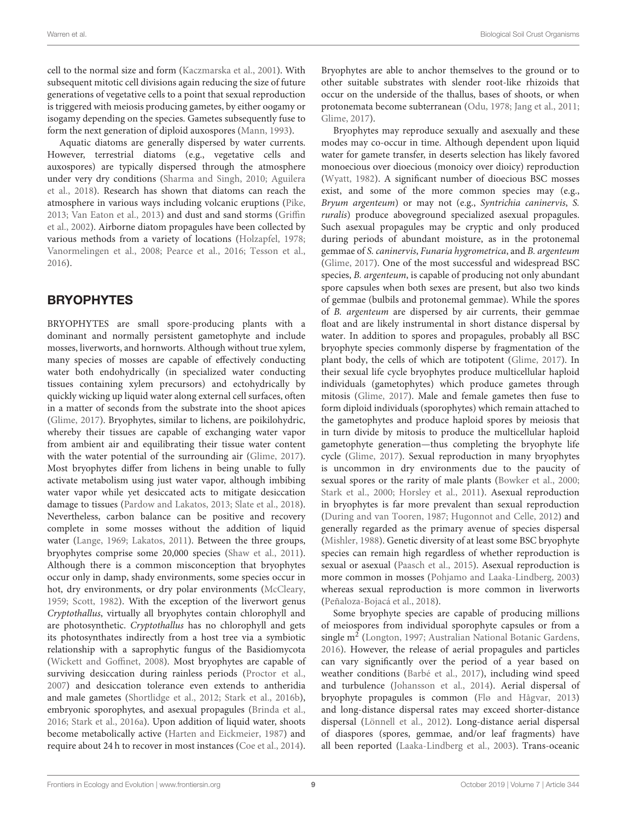cell to the normal size and form [\(Kaczmarska et al., 2001\)](#page-12-34). With subsequent mitotic cell divisions again reducing the size of future generations of vegetative cells to a point that sexual reproduction is triggered with meiosis producing gametes, by either oogamy or isogamy depending on the species. Gametes subsequently fuse to form the next generation of diploid auxospores [\(Mann, 1993\)](#page-13-31).

Aquatic diatoms are generally dispersed by water currents. However, terrestrial diatoms (e.g., vegetative cells and auxospores) are typically dispersed through the atmosphere under very dry conditions [\(Sharma and Singh, 2010;](#page-14-6) Aguilera et al., [2018\)](#page-10-27). Research has shown that diatoms can reach the atmosphere in various ways including volcanic eruptions [\(Pike,](#page-14-32) [2013;](#page-14-32) [Van Eaton et al., 2013\)](#page-15-27) and dust and sand storms (Griffin et al., [2002\)](#page-12-35). Airborne diatom propagules have been collected by various methods from a variety of locations [\(Holzapfel, 1978;](#page-12-36) [Vanormelingen et al., 2008;](#page-15-28) [Pearce et al., 2016;](#page-14-33) [Tesson et al.,](#page-15-20) [2016\)](#page-15-20).

## BRYOPHYTES

BRYOPHYTES are small spore-producing plants with a dominant and normally persistent gametophyte and include mosses, liverworts, and hornworts. Although without true xylem, many species of mosses are capable of effectively conducting water both endohydrically (in specialized water conducting tissues containing xylem precursors) and ectohydrically by quickly wicking up liquid water along external cell surfaces, often in a matter of seconds from the substrate into the shoot apices [\(Glime, 2017\)](#page-12-37). Bryophytes, similar to lichens, are poikilohydric, whereby their tissues are capable of exchanging water vapor from ambient air and equilibrating their tissue water content with the water potential of the surrounding air [\(Glime, 2017\)](#page-12-37). Most bryophytes differ from lichens in being unable to fully activate metabolism using just water vapor, although imbibing water vapor while yet desiccated acts to mitigate desiccation damage to tissues [\(Pardow and Lakatos, 2013;](#page-14-34) [Slate et al., 2018\)](#page-15-29). Nevertheless, carbon balance can be positive and recovery complete in some mosses without the addition of liquid water [\(Lange, 1969;](#page-13-32) [Lakatos, 2011\)](#page-13-33). Between the three groups, bryophytes comprise some 20,000 species [\(Shaw et al., 2011\)](#page-14-35). Although there is a common misconception that bryophytes occur only in damp, shady environments, some species occur in hot, dry environments, or dry polar environments [\(McCleary,](#page-13-34) [1959;](#page-13-34) [Scott, 1982\)](#page-14-36). With the exception of the liverwort genus Cryptothallus, virtually all bryophytes contain chlorophyll and are photosynthetic. Cryptothallus has no chlorophyll and gets its photosynthates indirectly from a host tree via a symbiotic relationship with a saprophytic fungus of the Basidiomycota [\(Wickett and Goffinet, 2008\)](#page-16-6). Most bryophytes are capable of surviving desiccation during rainless periods [\(Proctor et al.,](#page-14-37) [2007\)](#page-14-37) and desiccation tolerance even extends to antheridia and male gametes [\(Shortlidge et al., 2012;](#page-15-30) [Stark et al., 2016b\)](#page-15-31), embryonic sporophytes, and asexual propagules [\(Brinda et al.,](#page-11-38) [2016;](#page-11-38) [Stark et al., 2016a\)](#page-15-32). Upon addition of liquid water, shoots become metabolically active [\(Harten and Eickmeier, 1987\)](#page-12-38) and require about 24 h to recover in most instances [\(Coe et al., 2014\)](#page-11-39). Bryophytes are able to anchor themselves to the ground or to other suitable substrates with slender root-like rhizoids that occur on the underside of the thallus, bases of shoots, or when protonemata become subterranean [\(Odu, 1978;](#page-14-38) [Jang et al., 2011;](#page-12-39) [Glime, 2017\)](#page-12-37).

Bryophytes may reproduce sexually and asexually and these modes may co-occur in time. Although dependent upon liquid water for gamete transfer, in deserts selection has likely favored monoecious over dioecious (monoicy over dioicy) reproduction [\(Wyatt, 1982\)](#page-16-7). A significant number of dioecious BSC mosses exist, and some of the more common species may (e.g., Bryum argenteum) or may not (e.g., Syntrichia caninervis, S. ruralis) produce aboveground specialized asexual propagules. Such asexual propagules may be cryptic and only produced during periods of abundant moisture, as in the protonemal gemmae of S. caninervis, Funaria hygrometrica, and B. argenteum [\(Glime, 2017\)](#page-12-37). One of the most successful and widespread BSC species, B. argenteum, is capable of producing not only abundant spore capsules when both sexes are present, but also two kinds of gemmae (bulbils and protonemal gemmae). While the spores of B. argenteum are dispersed by air currents, their gemmae float and are likely instrumental in short distance dispersal by water. In addition to spores and propagules, probably all BSC bryophyte species commonly disperse by fragmentation of the plant body, the cells of which are totipotent [\(Glime, 2017\)](#page-12-37). In their sexual life cycle bryophytes produce multicellular haploid individuals (gametophytes) which produce gametes through mitosis [\(Glime, 2017\)](#page-12-37). Male and female gametes then fuse to form diploid individuals (sporophytes) which remain attached to the gametophytes and produce haploid spores by meiosis that in turn divide by mitosis to produce the multicellular haploid gametophyte generation—thus completing the bryophyte life cycle [\(Glime, 2017\)](#page-12-37). Sexual reproduction in many bryophytes is uncommon in dry environments due to the paucity of sexual spores or the rarity of male plants [\(Bowker et al., 2000;](#page-10-28) [Stark et al., 2000;](#page-15-33) [Horsley et al., 2011\)](#page-12-40). Asexual reproduction in bryophytes is far more prevalent than sexual reproduction [\(During and van Tooren, 1987;](#page-11-40) [Hugonnot and Celle, 2012\)](#page-12-41) and generally regarded as the primary avenue of species dispersal [\(Mishler, 1988\)](#page-13-35). Genetic diversity of at least some BSC bryophyte species can remain high regardless of whether reproduction is sexual or asexual [\(Paasch et al., 2015\)](#page-14-39). Asexual reproduction is more common in mosses [\(Pohjamo and Laaka-Lindberg, 2003\)](#page-14-40) whereas sexual reproduction is more common in liverworts [\(Peñaloza-Bojacá et al., 2018\)](#page-14-41).

Some bryophyte species are capable of producing millions of meiospores from individual sporophyte capsules or from a single m<sup>2</sup> [\(Longton, 1997;](#page-13-36) [Australian National Botanic Gardens,](#page-10-29) [2016\)](#page-10-29). However, the release of aerial propagules and particles can vary significantly over the period of a year based on weather conditions [\(Barbé et al., 2017\)](#page-10-30), including wind speed and turbulence [\(Johansson et al., 2014\)](#page-12-42). Aerial dispersal of bryophyte propagules is common [\(Flø and Hågvar, 2013\)](#page-11-41) and long-distance dispersal rates may exceed shorter-distance dispersal [\(Lönnell et al., 2012\)](#page-13-37). Long-distance aerial dispersal of diaspores (spores, gemmae, and/or leaf fragments) have all been reported [\(Laaka-Lindberg et al., 2003\)](#page-13-38). Trans-oceanic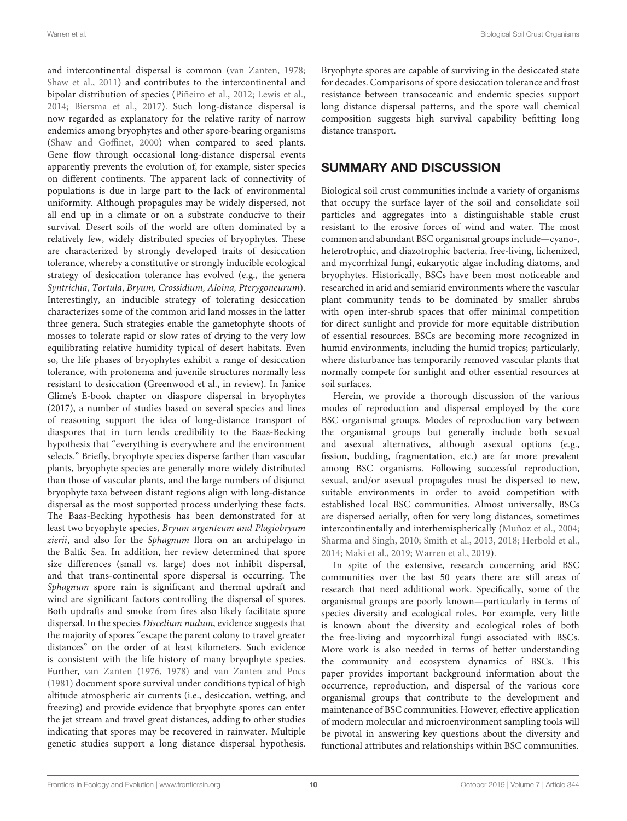and intercontinental dispersal is common [\(van Zanten, 1978;](#page-15-34) [Shaw et al., 2011\)](#page-14-35) and contributes to the intercontinental and bipolar distribution of species [\(Piñeiro et al., 2012;](#page-14-42) [Lewis et al.,](#page-13-39) [2014;](#page-13-39) [Biersma et al., 2017\)](#page-10-31). Such long-distance dispersal is now regarded as explanatory for the relative rarity of narrow endemics among bryophytes and other spore-bearing organisms [\(Shaw and Goffinet, 2000\)](#page-14-43) when compared to seed plants. Gene flow through occasional long-distance dispersal events apparently prevents the evolution of, for example, sister species on different continents. The apparent lack of connectivity of populations is due in large part to the lack of environmental uniformity. Although propagules may be widely dispersed, not all end up in a climate or on a substrate conducive to their survival. Desert soils of the world are often dominated by a relatively few, widely distributed species of bryophytes. These are characterized by strongly developed traits of desiccation tolerance, whereby a constitutive or strongly inducible ecological strategy of desiccation tolerance has evolved (e.g., the genera Syntrichia, Tortula, Bryum, Crossidium, Aloina, Pterygoneurum). Interestingly, an inducible strategy of tolerating desiccation characterizes some of the common arid land mosses in the latter three genera. Such strategies enable the gametophyte shoots of mosses to tolerate rapid or slow rates of drying to the very low equilibrating relative humidity typical of desert habitats. Even so, the life phases of bryophytes exhibit a range of desiccation tolerance, with protonema and juvenile structures normally less resistant to desiccation (Greenwood et al., in review). In Janice Glime's E-book chapter on diaspore dispersal in bryophytes (2017), a number of studies based on several species and lines of reasoning support the idea of long-distance transport of diaspores that in turn lends credibility to the Baas-Becking hypothesis that "everything is everywhere and the environment selects." Briefly, bryophyte species disperse farther than vascular plants, bryophyte species are generally more widely distributed than those of vascular plants, and the large numbers of disjunct bryophyte taxa between distant regions align with long-distance dispersal as the most supported process underlying these facts. The Baas-Becking hypothesis has been demonstrated for at least two bryophyte species, Bryum argenteum and Plagiobryum zierii, and also for the Sphagnum flora on an archipelago in the Baltic Sea. In addition, her review determined that spore size differences (small vs. large) does not inhibit dispersal, and that trans-continental spore dispersal is occurring. The Sphagnum spore rain is significant and thermal updraft and wind are significant factors controlling the dispersal of spores. Both updrafts and smoke from fires also likely facilitate spore dispersal. In the species Discelium nudum, evidence suggests that the majority of spores "escape the parent colony to travel greater distances" on the order of at least kilometers. Such evidence is consistent with the life history of many bryophyte species. Further, [van Zanten \(1976,](#page-15-35) [1978\)](#page-15-34) and [van Zanten and Pocs](#page-15-36) [\(1981\)](#page-15-36) document spore survival under conditions typical of high altitude atmospheric air currents (i.e., desiccation, wetting, and freezing) and provide evidence that bryophyte spores can enter the jet stream and travel great distances, adding to other studies indicating that spores may be recovered in rainwater. Multiple genetic studies support a long distance dispersal hypothesis.

Bryophyte spores are capable of surviving in the desiccated state for decades. Comparisons of spore desiccation tolerance and frost resistance between transoceanic and endemic species support long distance dispersal patterns, and the spore wall chemical composition suggests high survival capability befitting long distance transport.

#### SUMMARY AND DISCUSSION

Biological soil crust communities include a variety of organisms that occupy the surface layer of the soil and consolidate soil particles and aggregates into a distinguishable stable crust resistant to the erosive forces of wind and water. The most common and abundant BSC organismal groups include—cyano-, heterotrophic, and diazotrophic bacteria, free-living, lichenized, and mycorrhizal fungi, eukaryotic algae including diatoms, and bryophytes. Historically, BSCs have been most noticeable and researched in arid and semiarid environments where the vascular plant community tends to be dominated by smaller shrubs with open inter-shrub spaces that offer minimal competition for direct sunlight and provide for more equitable distribution of essential resources. BSCs are becoming more recognized in humid environments, including the humid tropics; particularly, where disturbance has temporarily removed vascular plants that normally compete for sunlight and other essential resources at soil surfaces.

Herein, we provide a thorough discussion of the various modes of reproduction and dispersal employed by the core BSC organismal groups. Modes of reproduction vary between the organismal groups but generally include both sexual and asexual alternatives, although asexual options (e.g., fission, budding, fragmentation, etc.) are far more prevalent among BSC organisms. Following successful reproduction, sexual, and/or asexual propagules must be dispersed to new, suitable environments in order to avoid competition with established local BSC communities. Almost universally, BSCs are dispersed aerially, often for very long distances, sometimes intercontinentally and interhemispherically [\(Muñoz et al., 2004;](#page-13-40) [Sharma and Singh, 2010;](#page-14-6) [Smith et al., 2013,](#page-15-37) [2018;](#page-15-38) [Herbold et al.,](#page-12-43) [2014;](#page-12-43) [Maki et al., 2019;](#page-13-41) [Warren et al., 2019\)](#page-15-2).

In spite of the extensive, research concerning arid BSC communities over the last 50 years there are still areas of research that need additional work. Specifically, some of the organismal groups are poorly known—particularly in terms of species diversity and ecological roles. For example, very little is known about the diversity and ecological roles of both the free-living and mycorrhizal fungi associated with BSCs. More work is also needed in terms of better understanding the community and ecosystem dynamics of BSCs. This paper provides important background information about the occurrence, reproduction, and dispersal of the various core organismal groups that contribute to the development and maintenance of BSC communities. However, effective application of modern molecular and microenvironment sampling tools will be pivotal in answering key questions about the diversity and functional attributes and relationships within BSC communities.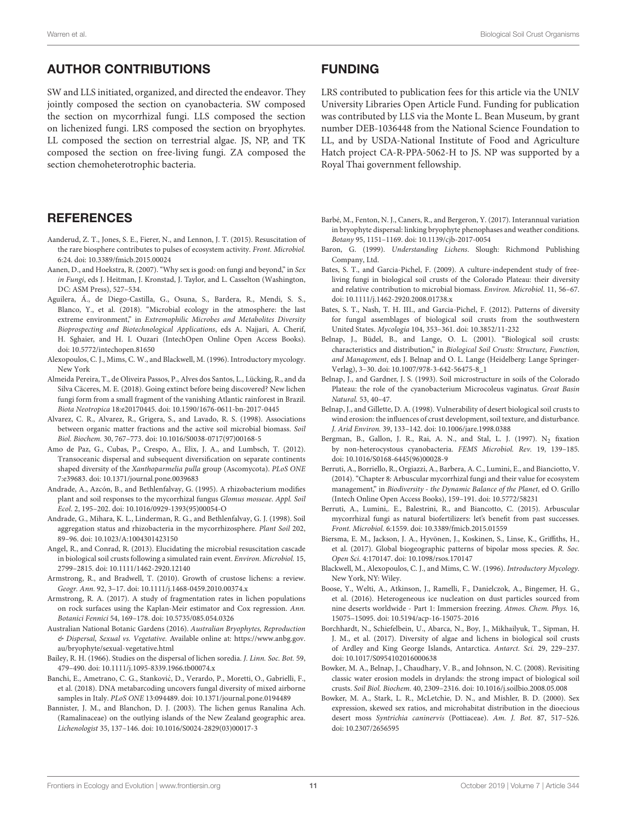## AUTHOR CONTRIBUTIONS

SW and LLS initiated, organized, and directed the endeavor. They jointly composed the section on cyanobacteria. SW composed the section on mycorrhizal fungi. LLS composed the section on lichenized fungi. LRS composed the section on bryophytes. LL composed the section on terrestrial algae. JS, NP, and TK composed the section on free-living fungi. ZA composed the section chemoheterotrophic bacteria.

#### **REFERENCES**

- <span id="page-10-4"></span>Aanderud, Z. T., Jones, S. E., Fierer, N., and Lennon, J. T. (2015). Resuscitation of the rare biosphere contributes to pulses of ecosystem activity. Front. Microbiol. 6:24. doi: [10.3389/fmicb.2015.00024](https://doi.org/10.3389/fmicb.2015.00024)
- <span id="page-10-13"></span>Aanen, D., and Hoekstra, R. (2007). "Why sex is good: on fungi and beyond," in Sex in Fungi, eds J. Heitman, J. Kronstad, J. Taylor, and L. Casselton (Washington, DC: ASM Press), 527–534.
- <span id="page-10-27"></span>Aguilera, Á., de Diego-Castilla, G., Osuna, S., Bardera, R., Mendi, S. S., Blanco, Y., et al. (2018). "Microbial ecology in the atmosphere: the last extreme environment," in Extremophilic Microbes and Metabolites Diversity Bioprospecting and Biotechnological Applications, eds A. Najjari, A. Cherif, H. Sghaier, and H. I. Ouzari (IntechOpen Online Open Access Books). doi: [10.5772/intechopen.81650](https://doi.org/10.5772/intechopen.81650)
- <span id="page-10-10"></span>Alexopoulos, C. J., Mims, C. W., and Blackwell, M. (1996). Introductory mycology. New York
- <span id="page-10-17"></span>Almeida Pereira, T., de Oliveira Passos, P., Alves dos Santos, L., Lücking, R., and da Silva Cäceres, M. E. (2018). Going extinct before being discovered? New lichen fungi form from a small fragment of the vanishing Atlantic rainforest in Brazil. Biota Neotropica 18:e20170445. doi: [10.1590/1676-0611-bn-2017-0445](https://doi.org/10.1590/1676-0611-bn-2017-0445)
- <span id="page-10-3"></span>Alvarez, C. R., Alvarez, R., Grigera, S., and Lavado, R. S. (1998). Associations between organic matter fractions and the active soil microbial biomass. Soil Biol. Biochem. 30, 767–773. doi: [10.1016/S0038-0717\(97\)00168-5](https://doi.org/10.1016/S0038-0717(97)00168-5)
- <span id="page-10-21"></span>Amo de Paz, G., Cubas, P., Crespo, A., Elix, J. A., and Lumbsch, T. (2012). Transoceanic dispersal and subsequent diversification on separate continents shaped diversity of the Xanthoparmelia pulla group (Ascomycota). PLoS ONE 7:e39683. doi: [10.1371/journal.pone.0039683](https://doi.org/10.1371/journal.pone.0039683)
- <span id="page-10-23"></span>Andrade, A., Azcón, B., and Bethlenfalvay, G. (1995). A rhizobacterium modifies plant and soil responses to the mycorrhizal fungus Glomus mosseae. Appl. Soil Ecol. 2, 195–202. doi: [10.1016/0929-1393\(95\)00054-O](https://doi.org/10.1016/0929-1393(95)00054-O)
- <span id="page-10-2"></span>Andrade, G., Mihara, K. L., Linderman, R. G., and Bethlenfalvay, G. J. (1998). Soil aggregation status and rhizobacteria in the mycorrhizosphere. Plant Soil 202, 89–96. doi: [10.1023/A:1004301423150](https://doi.org/10.1023/A:1004301423150)
- <span id="page-10-5"></span>Angel, R., and Conrad, R. (2013). Elucidating the microbial resuscitation cascade in biological soil crusts following a simulated rain event. Environ. Microbiol. 15, 2799–2815. doi: [10.1111/1462-2920.12140](https://doi.org/10.1111/1462-2920.12140)
- <span id="page-10-14"></span>Armstrong, R., and Bradwell, T. (2010). Growth of crustose lichens: a review. Geogr. Ann. 92, 3–17. doi: [10.1111/j.1468-0459.2010.00374.x](https://doi.org/10.1111/j.1468-0459.2010.00374.x)
- <span id="page-10-16"></span>Armstrong, R. A. (2017). A study of fragmentation rates in lichen populations on rock surfaces using the Kaplan-Meir estimator and Cox regression. Ann. Botanici Fennici 54, 169–178. doi: [10.5735/085.054.0326](https://doi.org/10.5735/085.054.0326)
- <span id="page-10-29"></span>Australian National Botanic Gardens (2016). Australian Bryophytes, Reproduction & Dispersal, Sexual vs. Vegetative. Available online at: [https://www.anbg.gov.](https://www.anbg.gov.au/bryophyte/sexual-vegetative.html) [au/bryophyte/sexual-vegetative.html](https://www.anbg.gov.au/bryophyte/sexual-vegetative.html)
- <span id="page-10-19"></span>Bailey, R. H. (1966). Studies on the dispersal of lichen soredia. J. Linn. Soc. Bot. 59, 479–490. doi: [10.1111/j.1095-8339.1966.tb00074.x](https://doi.org/10.1111/j.1095-8339.1966.tb00074.x)
- <span id="page-10-25"></span>Banchi, E., Ametrano, C. G., Stankovic, D., Verardo, P., Moretti, O., Gabrielli, F., ´ et al. (2018). DNA metabarcoding uncovers fungal diversity of mixed airborne samples in Italy. PLoS ONE 13:094489. doi: [10.1371/journal.pone.0194489](https://doi.org/10.1371/journal.pone.0194489)
- <span id="page-10-20"></span>Bannister, J. M., and Blanchon, D. J. (2003). The lichen genus Ranalina Ach. (Ramalinaceae) on the outlying islands of the New Zealand geographic area. Lichenologist 35, 137–146. doi: [10.1016/S0024-2829\(03\)00017-3](https://doi.org/10.1016/S0024-2829(03)00017-3)

#### FUNDING

LRS contributed to publication fees for this article via the UNLV University Libraries Open Article Fund. Funding for publication was contributed by LLS via the Monte L. Bean Museum, by grant number DEB-1036448 from the National Science Foundation to LL, and by USDA-National Institute of Food and Agriculture Hatch project CA-R-PPA-5062-H to JS. NP was supported by a Royal Thai government fellowship.

- <span id="page-10-30"></span>Barbé, M., Fenton, N. J., Caners, R., and Bergeron, Y. (2017). Interannual variation in bryophyte dispersal: linking bryophyte phenophases and weather conditions. Botany 95, 1151–1169. doi: [10.1139/cjb-2017-0054](https://doi.org/10.1139/cjb-2017-0054)
- <span id="page-10-15"></span>Baron, G. (1999). Understanding Lichens. Slough: Richmond Publishing Company, Ltd.
- <span id="page-10-11"></span>Bates, S. T., and Garcia-Pichel, F. (2009). A culture-independent study of freeliving fungi in biological soil crusts of the Colorado Plateau: their diversity and relative contribution to microbial biomass. Environ. Microbiol. 11, 56–67. doi: [10.1111/j.1462-2920.2008.01738.x](https://doi.org/10.1111/j.1462-2920.2008.01738.x)
- <span id="page-10-12"></span>Bates, S. T., Nash, T. H. III., and Garcia-Pichel, F. (2012). Patterns of diversity for fungal assemblages of biological soil crusts from the southwestern United States. Mycologia 104, 353–361. doi: [10.3852/11-232](https://doi.org/10.3852/11-232)
- <span id="page-10-0"></span>Belnap, J., Büdel, B., and Lange, O. L. (2001). "Biological soil crusts: characteristics and distribution," in Biological Soil Crusts: Structure, Function, and Management, eds J. Belnap and O. L. Lange (Heidelberg: Lange Springer-Verlag), 3–30. doi: [10.1007/978-3-642-56475-8\\_1](https://doi.org/10.1007/978-3-642-56475-8_1)
- <span id="page-10-6"></span>Belnap, J., and Gardner, J. S. (1993). Soil microstructure in soils of the Colorado Plateau: the role of the cyanobacterium Microcoleus vaginatus. Great Basin Natural. 53, 40–47.
- <span id="page-10-9"></span>Belnap, J., and Gillette, D. A. (1998). Vulnerability of desert biological soil crusts to wind erosion: the influences of crust development, soil texture, and disturbance. J. Arid Environ. 39, 133–142. doi: [10.1006/jare.1998.0388](https://doi.org/10.1006/jare.1998.0388)
- <span id="page-10-1"></span>Bergman, B., Gallon, J. R., Rai, A. N., and Stal, L. J. (1997).  $N_2$  fixation by non-heterocystous cyanobacteria. FEMS Microbiol. Rev. 19, 139–185. doi: [10.1016/S0168-6445\(96\)00028-9](https://doi.org/10.1016/S0168-6445(96)00028-9)
- <span id="page-10-24"></span>Berruti, A., Borriello, R., Orgiazzi, A., Barbera, A. C., Lumini, E., and Bianciotto, V. (2014). "Chapter 8: Arbuscular mycorrhizal fungi and their value for ecosystem management," in Biodiversity - the Dynamic Balance of the Planet, ed O. Grillo (Intech Online Open Access Books), 159–191. doi: [10.5772/58231](https://doi.org/10.5772/58231)
- <span id="page-10-22"></span>Berruti, A., Lumini,. E., Balestrini, R., and Biancotto, C. (2015). Arbuscular mycorrhizal fungi as natural biofertilizers: let's benefit from past successes. Front. Microbiol. 6:1559. doi: [10.3389/fmicb.2015.01559](https://doi.org/10.3389/fmicb.2015.01559)
- <span id="page-10-31"></span>Biersma, E. M., Jackson, J. A., Hyvönen, J., Koskinen, S., Linse, K., Griffiths, H., et al. (2017). Global biogeographic patterns of bipolar moss species. R. Soc. Open Sci. 4:170147. doi: [10.1098/rsos.170147](https://doi.org/10.1098/rsos.170147)
- <span id="page-10-18"></span>Blackwell, M., Alexopoulos, C. J., and Mims, C. W. (1996). Introductory Mycology. New York, NY: Wiley.
- <span id="page-10-8"></span>Boose, Y., Welti, A., Atkinson, J., Ramelli, F., Danielczok, A., Bingemer, H. G., et al. (2016). Heterogeneous ice nucleation on dust particles sourced from nine deserts worldwide - Part 1: Immersion freezing. Atmos. Chem. Phys. 16, 15075–15095. doi: [10.5194/acp-16-15075-2016](https://doi.org/10.5194/acp-16-15075-2016)
- <span id="page-10-26"></span>Borchhardt, N., Schiefelbein, U., Abarca, N., Boy, J., Mikhailyuk, T., Sipman, H. J. M., et al. (2017). Diversity of algae and lichens in biological soil crusts of Ardley and King George Islands, Antarctica. Antarct. Sci. 29, 229–237. doi: [10.1017/S0954102016000638](https://doi.org/10.1017/S0954102016000638)
- <span id="page-10-7"></span>Bowker, M. A., Belnap, J., Chaudhary, V. B., and Johnson, N. C. (2008). Revisiting classic water erosion models in drylands: the strong impact of biological soil crusts. Soil Biol. Biochem. 40, 2309–2316. doi: [10.1016/j.soilbio.2008.05.008](https://doi.org/10.1016/j.soilbio.2008.05.008)
- <span id="page-10-28"></span>Bowker, M. A., Stark, L. R., McLetchie, D. N., and Mishler, B. D. (2000). Sex expression, skewed sex ratios, and microhabitat distribution in the dioecious desert moss Syntrichia caninervis (Pottiaceae). Am. J. Bot. 87, 517–526. doi: [10.2307/2656595](https://doi.org/10.2307/2656595)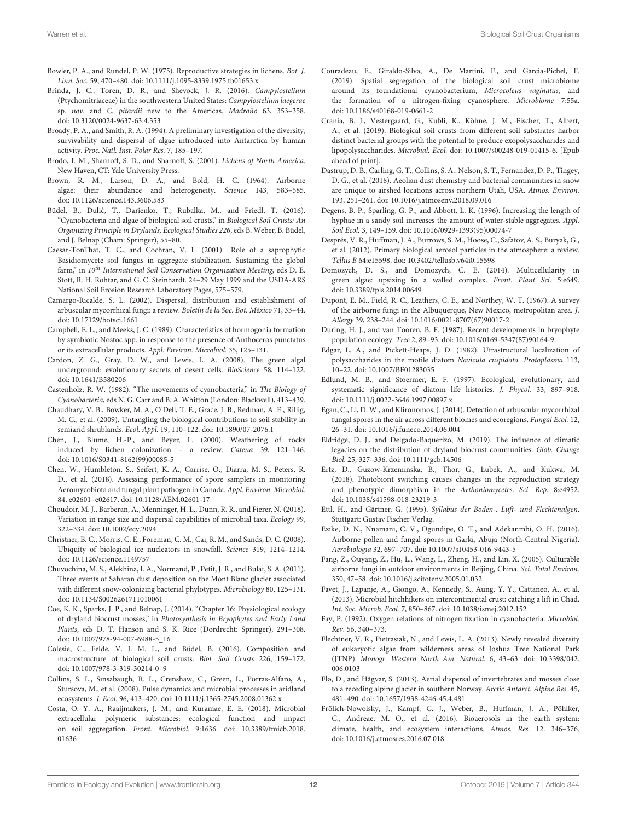- <span id="page-11-23"></span>Bowler, P. A., and Rundel, P. W. (1975). Reproductive strategies in lichens. Bot. J. Linn. Soc. 59, 470–480. doi: [10.1111/j.1095-8339.1975.tb01653.x](https://doi.org/10.1111/j.1095-8339.1975.tb01653.x)
- <span id="page-11-38"></span>Brinda, J. C., Toren, D. R., and Shevock, J. R. (2016). Campylostelium (Ptychomitriaceae) in the southwestern United States: Campylostelium laegerae sp. nov. and C. pitardii new to the Americas. Madroño 63, 353–358. doi: [10.3120/0024-9637-63.4.353](https://doi.org/10.3120/0024-9637-63.4.353)
- <span id="page-11-33"></span>Broady, P. A., and Smith, R. A. (1994). A preliminary investigation of the diversity, survivability and dispersal of algae introduced into Antarctica by human activity. Proc. Natl. Inst. Polar Res. 7, 185–197.
- <span id="page-11-21"></span>Brodo, I. M., Sharnoff, S. D., and Sharnoff, S. (2001). Lichens of North America. New Haven, CT: Yale University Press.
- <span id="page-11-32"></span>Brown, R. M., Larson, D. A., and Bold, H. C. (1964). Airborne algae: their abundance and heterogeneity. Science 143, 583–585. doi: [10.1126/science.143.3606.583](https://doi.org/10.1126/science.143.3606.583)
- <span id="page-11-30"></span>Büdel, B., Dulić, T., Darienko, T., Rubalka, M., and Friedl, T. (2016). "Cyanobacteria and algae of biological soil crusts," in Biological Soil Crusts: An Organizing Principle in Drylands, Ecological Studies 226, eds B. Weber, B. Büdel, and J. Belnap (Cham: Springer), 55–80.
- <span id="page-11-14"></span>Caesar-TonThat, T. C., and Cochran, V. L. (2001). "Role of a saprophytic Basidiomycete soil fungus in aggregate stabilization. Sustaining the global farm," in 10<sup>th</sup> International Soil Conservation Organization Meeting, eds D. E. Stott, R. H. Rohtar, and G. C. Steinhardt. 24–29 May 1999 and the USDA-ARS National Soil Erosion Research Laboratory Pages, 575–579.
- <span id="page-11-26"></span>Camargo-Ricalde, S. L. (2002). Dispersal, distribution and establishment of arbuscular mycorrhizal fungi: a review. Boletín de la Soc. Bot. México 71, 33–44. doi: [10.17129/botsci.1661](https://doi.org/10.17129/botsci.1661)
- <span id="page-11-2"></span>Campbell, E. L., and Meeks, J. C. (1989). Characteristics of hormogonia formation by symbiotic Nostoc spp. in response to the presence of Anthoceros punctatus or its extracellular products. Appl. Environ. Microbiol. 35, 125–131.
- <span id="page-11-34"></span>Cardon, Z. G., Gray, D. W., and Lewis, L. A. (2008). The green algal underground: evolutionary secrets of desert cells. BioScience 58, 114–122. doi: [10.1641/B580206](https://doi.org/10.1641/B580206)
- <span id="page-11-4"></span>Castenholz, R. W. (1982). "The movements of cyanobacteria," in The Biology of Cyanobacteria, eds N. G. Carr and B. A. Whitton (London: Blackwell), 413–439.
- <span id="page-11-25"></span>Chaudhary, V. B., Bowker, M. A., O'Dell, T. E., Grace, J. B., Redman, A. E., Rillig, M. C., et al. (2009). Untangling the biological contributions to soil stability in semiarid shrublands. Ecol. Appl. 19, 110–122. doi: [10.1890/07-2076.1](https://doi.org/10.1890/07-2076.1)
- <span id="page-11-22"></span>Chen, J., Blume, H.-P., and Beyer, L. (2000). Weathering of rocks induced by lichen colonization – a review. Catena 39, 121–146. doi: [10.1016/S0341-8162\(99\)00085-5](https://doi.org/10.1016/S0341-8162(99)00085-5)
- <span id="page-11-28"></span>Chen, W., Humbleton, S., Seifert, K. A., Carrise, O., Diarra, M. S., Peters, R. D., et al. (2018). Assessing performance of spore samplers in monitoring Aeromycobiota and fungal plant pathogen in Canada. Appl. Environ. Microbiol. 84, e02601–e02617. doi: [10.1128/AEM.02601-17](https://doi.org/10.1128/AEM.02601-17)
- <span id="page-11-9"></span>Choudoir, M. J., Barberan, A., Menninger, H. L., Dunn, R. R., and Fierer, N. (2018). Variation in range size and dispersal capabilities of microbial taxa. Ecology 99, 322–334. doi: [10.1002/ecy.2094](https://doi.org/10.1002/ecy.2094)
- <span id="page-11-13"></span>Christner, B. C., Morris, C. E., Foreman, C. M., Cai, R. M., and Sands, D. C. (2008). Ubiquity of biological ice nucleators in snowfall. Science 319, 1214–1214. doi: [10.1126/science.1149757](https://doi.org/10.1126/science.1149757)
- <span id="page-11-10"></span>Chuvochina, M. S., Alekhina, I. A., Normand, P., Petit, J. R., and Bulat, S. A. (2011). Three events of Saharan dust deposition on the Mont Blanc glacier associated with different snow-colonizing bacterial phylotypes. Microbiology 80, 125–131. doi: [10.1134/S0026261711010061](https://doi.org/10.1134/S0026261711010061)
- <span id="page-11-39"></span>Coe, K. K., Sparks, J. P., and Belnap, J. (2014). "Chapter 16: Physiological ecology of dryland biocrust mosses," in Photosynthesis in Bryophytes and Early Land Plants, eds D. T. Hanson and S. K. Rice (Dordrecht: Springer), 291–308. doi: [10.1007/978-94-007-6988-5\\_16](https://doi.org/10.1007/978-94-007-6988-5_16)
- <span id="page-11-0"></span>Colesie, C., Felde, V. J. M. L., and Büdel, B. (2016). Composition and macrostructure of biological soil crusts. Biol. Soil Crusts 226, 159–172. doi: [10.1007/978-3-319-30214-0\\_9](https://doi.org/10.1007/978-3-319-30214-0_9)
- <span id="page-11-16"></span>Collins, S. L., Sinsabaugh, R. L., Crenshaw, C., Green, L., Porras-Alfaro, A., Stursova, M., et al. (2008). Pulse dynamics and microbial processes in aridland ecosystems. J. Ecol. 96, 413–420. doi: [10.1111/j.1365-2745.2008.01362.x](https://doi.org/10.1111/j.1365-2745.2008.01362.x)
- <span id="page-11-8"></span>Costa, O. Y. A., Raaijmakers, J. M., and Kuramae, E. E. (2018). Microbial extracellular polymeric substances: ecological function and impact on soil aggregation. Front. Microbiol. [9:1636. doi: 10.3389/fmicb.2018.](https://doi.org/10.3389/fmicb.2018.01636) 01636
- <span id="page-11-5"></span>Couradeau, E., Giraldo-Silva, A., De Martini, F., and Garcia-Pichel, F. (2019). Spatial segregation of the biological soil crust microbiome around its foundational cyanobacterium, Microcoleus vaginatus, and the formation of a nitrogen-fixing cyanosphere. Microbiome 7:55a. doi: [10.1186/s40168-019-0661-2](https://doi.org/10.1186/s40168-019-0661-2)
- <span id="page-11-6"></span>Crania, B. J., Vestergaard, G., Kubli, K., Köhne, J. M., Fischer, T., Albert, A., et al. (2019). Biological soil crusts from different soil substrates harbor distinct bacterial groups with the potential to produce exopolysaccharides and lipopolysaccharides. Microbial. Ecol. doi: [10.1007/s00248-019-01415-6.](https://doi.org/10.1007/s00248-019-01415-6) [Epub ahead of print].
- <span id="page-11-12"></span>Dastrup, D. B., Carling, G. T., Collins, S. A., Nelson, S. T., Fernandez, D. P., Tingey, D. G., et al. (2018). Aeolian dust chemistry and bacterial communities in snow are unique to airshed locations across northern Utah, USA. Atmos. Environ. 193, 251–261. doi: [10.1016/j.atmosenv.2018.09.016](https://doi.org/10.1016/j.atmosenv.2018.09.016)
- <span id="page-11-15"></span>Degens, B. P., Sparling, G. P., and Abbott, L. K. (1996). Increasing the length of hyphae in a sandy soil increases the amount of water-stable aggregates. Appl. Soil Ecol. 3, 149–159. doi: [10.1016/0929-1393\(95\)00074-7](https://doi.org/10.1016/0929-1393(95)00074-7)
- <span id="page-11-3"></span>Després, V. R., Huffman, J. A., Burrows, S. M., Hoose, C., Safatov, A. S., Buryak, G., et al. (2012). Primary biological aerosol particles in the atmosphere: a review. Tellus B 64:e15598. doi: [10.3402/tellusb.v64i0.15598](https://doi.org/10.3402/tellusb.v64i0.15598)
- <span id="page-11-29"></span>Domozych, D. S., and Domozych, C. E. (2014). Multicellularity in green algae: upsizing in a walled complex. Front. Plant Sci. 5:e649. doi: [10.3389/fpls.2014.00649](https://doi.org/10.3389/fpls.2014.00649)
- <span id="page-11-20"></span>Dupont, E. M., Field, R. C., Leathers, C. E., and Northey, W. T. (1967). A survey of the airborne fungi in the Albuquerque, New Mexico, metropolitan area. J. Allergy 39, 238–244. doi: [10.1016/0021-8707\(67\)90017-2](https://doi.org/10.1016/0021-8707(67)90017-2)
- <span id="page-11-40"></span>During, H. J., and van Tooren, B. F. (1987). Recent developments in bryophyte population ecology. Tree 2, 89–93. doi: [10.1016/0169-5347\(87\)90164-9](https://doi.org/10.1016/0169-5347(87)90164-9)
- <span id="page-11-36"></span>Edgar, L. A., and Pickett-Heaps, J. D. (1982). Utrastructural localization of polysaccharides in the motile diatom Navicula cuspidata. Protoplasma 113, 10–22. doi: [10.1007/BF01283035](https://doi.org/10.1007/BF01283035)
- <span id="page-11-37"></span>Edlund, M. B., and Stoermer, E. F. (1997). Ecological, evolutionary, and systematic significance of diatom life histories. J. Phycol. 33, 897–918. doi: [10.1111/j.0022-3646.1997.00897.x](https://doi.org/10.1111/j.0022-3646.1997.00897.x)
- <span id="page-11-27"></span>Egan, C., Li, D. W., and Klironomos, J. (2014). Detection of arbuscular mycorrhizal fungal spores in the air across different biomes and ecoregions. Fungal Ecol. 12, 26–31. doi: [10.1016/j.funeco.2014.06.004](https://doi.org/10.1016/j.funeco.2014.06.004)
- <span id="page-11-7"></span>Eldridge, D. J., and Delgado-Baquerizo, M. (2019). The influence of climatic legacies on the distribution of dryland biocrust communities. Glob. Change Biol. 25, 327–336. doi: [10.1111/gcb.14506](https://doi.org/10.1111/gcb.14506)
- <span id="page-11-24"></span>Ertz, D., Guzow-Krzeminska, B., Thor, G., Łubek, A., and Kukwa, M. (2018). Photobiont switching causes changes in the reproduction strategy and phenotypic dimorphism in the Arthoniomycetes. Sci. Rep. 8:e4952. doi: [10.1038/s41598-018-23219-3](https://doi.org/10.1038/s41598-018-23219-3)
- <span id="page-11-35"></span>Ettl, H., and Gärtner, G. (1995). Syllabus der Boden-, Luft- und Flechtenalgen. Stuttgart: Gustav Fischer Verlag.
- <span id="page-11-19"></span>Ezike, D. N., Nnamani, C. V., Ogundipe, O. T., and Adekanmbi, O. H. (2016). Airborne pollen and fungal spores in Garki, Abuja (North-Central Nigeria). Aerobiologia 32, 697–707. doi: [10.1007/s10453-016-9443-5](https://doi.org/10.1007/s10453-016-9443-5)
- <span id="page-11-18"></span>Fang, Z., Ouyang, Z., Hu, L., Wang, L., Zheng, H., and Lin, X. (2005). Culturable airborne fungi in outdoor environments in Beijing, China. Sci. Total Environ. 350, 47–58. doi: [10.1016/j.scitotenv.2005.01.032](https://doi.org/10.1016/j.scitotenv.2005.01.032)
- <span id="page-11-11"></span>Favet, J., Lapanje, A., Giongo, A., Kennedy, S., Aung, Y. Y., Cattaneo, A., et al. (2013). Microbial hitchhikers on intercontinental crust: catching a lift in Chad. Int. Soc. Microb. Ecol. 7, 850–867. doi: [10.1038/ismej.2012.152](https://doi.org/10.1038/ismej.2012.152)
- <span id="page-11-1"></span>Fay, P. (1992). Oxygen relations of nitrogen fixation in cyanobacteria. Microbiol. Rev. 56, 340–373.
- <span id="page-11-31"></span>Flechtner, V. R., Pietrasiak, N., and Lewis, L. A. (2013). Newly revealed diversity of eukaryotic algae from wilderness areas of Joshua Tree National Park (JTNP). [Monogr. Western North Am. Natural.](https://doi.org/10.3398/042.006.0103) 6, 43–63. doi: 10.3398/042. 006.0103
- <span id="page-11-41"></span>Flø, D., and Hågvar, S. (2013). Aerial dispersal of invertebrates and mosses close to a receding alpine glacier in southern Norway. Arctic Antarct. Alpine Res. 45, 481–490. doi: [10.1657/1938-4246-45.4.481](https://doi.org/10.1657/1938-4246-45.4.481)
- <span id="page-11-17"></span>Frölich-Nowoisky, J., Kampf, C. J., Weber, B., Huffman, J. A., Pöhlker, C., Andreae, M. O., et al. (2016). Bioaerosols in the earth system: climate, health, and ecosystem interactions. Atmos. Res. 12. 346–376. doi: [10.1016/j.atmosres.2016.07.018](https://doi.org/10.1016/j.atmosres.2016.07.018)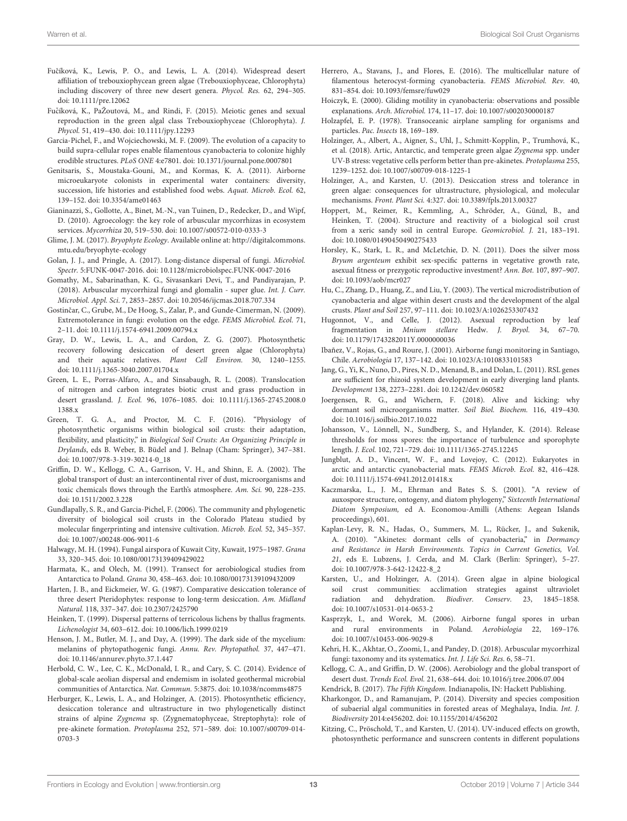- <span id="page-12-24"></span>Fučíková, K., Lewis, P. O., and Lewis, L. A. (2014). Widespread desert affiliation of trebouxiophycean green algae (Trebouxiophyceae, Chlorophyta) including discovery of three new desert genera. Phycol. Res. 62, 294–305. doi: [10.1111/pre.12062](https://doi.org/10.1111/pre.12062)
- <span id="page-12-26"></span>Fučíková, K., PaŽoutová, M., and Rindi, F. (2015). Meiotic genes and sexual reproduction in the green algal class Trebouxiophyceae (Chlorophyta). J. Phycol. 51, 419–430. doi: [10.1111/jpy.12293](https://doi.org/10.1111/jpy.12293)
- <span id="page-12-3"></span>Garcia-Pichel, F., and Wojciechowski, M. F. (2009). The evolution of a capacity to build supra-cellular ropes enable filamentous cyanobacteria to colonize highly erodible structures. PLoS ONE 4:e7801. doi: [10.1371/journal.pone.0007801](https://doi.org/10.1371/journal.pone.0007801)
- <span id="page-12-6"></span>Genitsaris, S., Moustaka-Gouni, M., and Kormas, K. A. (2011). Airborne microeukaryote colonists in experimental water containers: diversity, succession, life histories and established food webs. Aquat. Microb. Ecol. 62, 139–152. doi: [10.3354/ame01463](https://doi.org/10.3354/ame01463)
- <span id="page-12-22"></span>Gianinazzi, S., Gollotte, A., Binet, M.-N., van Tuinen, D., Redecker, D., and Wipf, D. (2010). Agroecology: the key role of arbuscular mycorrhizas in ecosystem services. Mycorrhiza 20, 519–530. doi: [10.1007/s00572-010-0333-3](https://doi.org/10.1007/s00572-010-0333-3)
- <span id="page-12-37"></span>Glime, J. M. (2017). Bryophyte Ecology. Available online at: [http://digitalcommons.](http://digitalcommons.mtu.edu/bryophyte-ecology) [mtu.edu/bryophyte-ecology](http://digitalcommons.mtu.edu/bryophyte-ecology)
- <span id="page-12-15"></span>Golan, J. J., and Pringle, A. (2017). Long-distance dispersal of fungi. Microbiol. Spectr. 5:FUNK-0047-2016. doi: [10.1128/microbiolspec.FUNK-0047-2016](https://doi.org/10.1128/microbiolspec.FUNK-0047-2016)
- <span id="page-12-23"></span>Gomathy, M., Sabarinathan, K. G., Sivasankari Devi, T., and Pandiyarajan, P. (2018). Arbuscular mycorrhizal fungi and glomalin - super glue. Int. J. Curr. Microbiol. Appl. Sci. 7, 2853–2857. doi: [10.20546/ijcmas.2018.707.334](https://doi.org/10.20546/ijcmas.2018.707.334)
- <span id="page-12-12"></span>Gostinčar, C., Grube, M., De Hoog, S., Zalar, P., and Gunde-Cimerman, N. (2009). Extremotolerance in fungi: evolution on the edge. FEMS Microbiol. Ecol. 71, 2–11. doi: [10.1111/j.1574-6941.2009.00794.x](https://doi.org/10.1111/j.1574-6941.2009.00794.x)
- <span id="page-12-29"></span>Gray, D. W., Lewis, L. A., and Cardon, Z. G. (2007). Photosynthetic recovery following desiccation of desert green algae (Chlorophyta) and their aquatic relatives. Plant Cell Environ. 30, 1240–1255. doi: [10.1111/j.1365-3040.2007.01704.x](https://doi.org/10.1111/j.1365-3040.2007.01704.x)
- <span id="page-12-14"></span>Green, L. E., Porras-Alfaro, A., and Sinsabaugh, R. L. (2008). Translocation of nitrogen and carbon integrates biotic crust and grass production in desert grassland. J. Ecol. [96, 1076–1085. doi: 10.1111/j.1365-2745.2008.0](https://doi.org/10.1111/j.1365-2745.2008.01388.x) 1388.x
- <span id="page-12-0"></span>Green, T. G. A., and Proctor, M. C. F. (2016). "Physiology of photosynthetic organisms within biological soil crusts: their adaptation, flexibility, and plasticity," in Biological Soil Crusts: An Organizing Principle in Drylands, eds B. Weber, B. Büdel and J. Belnap (Cham: Springer), 347–381. doi: [10.1007/978-3-319-30214-0\\_18](https://doi.org/10.1007/978-3-319-30214-0_18)
- <span id="page-12-35"></span>Griffin, D. W., Kellogg, C. A., Garrison, V. H., and Shinn, E. A. (2002). The global transport of dust: an intercontinental river of dust, microorganisms and toxic chemicals flows through the Earth's atmosphere. Am. Sci. 90, 228–235. doi: [10.1511/2002.3.228](https://doi.org/10.1511/2002.3.228)
- <span id="page-12-11"></span>Gundlapally, S. R., and Garcia-Pichel, F. (2006). The community and phylogenetic diversity of biological soil crusts in the Colorado Plateau studied by molecular fingerprinting and intensive cultivation. Microb. Ecol. 52, 345–357. doi: [10.1007/s00248-006-9011-6](https://doi.org/10.1007/s00248-006-9011-6)
- <span id="page-12-17"></span>Halwagy, M. H. (1994). Fungal airspora of Kuwait City, Kuwait, 1975–1987. Grana 33, 320–345. doi: [10.1080/00173139409429022](https://doi.org/10.1080/00173139409429022)
- <span id="page-12-20"></span>Harmata, K., and Olech, M. (1991). Transect for aerobiological studies from Antarctica to Poland. Grana 30, 458–463. doi: [10.1080/00173139109432009](https://doi.org/10.1080/00173139109432009)
- <span id="page-12-38"></span>Harten, J. B., and Eickmeier, W. G. (1987). Comparative desiccation tolerance of three desert Pteridophytes: response to long-term desiccation. Am. Midland Natural. 118, 337–347. doi: [10.2307/2425790](https://doi.org/10.2307/2425790)
- <span id="page-12-19"></span>Heinken, T. (1999). Dispersal patterns of terricolous lichens by thallus fragments. Lichenologist 34, 603–612. doi: [10.1006/lich.1999.0219](https://doi.org/10.1006/lich.1999.0219)
- <span id="page-12-13"></span>Henson, J. M., Butler, M. J., and Day, A. (1999). The dark side of the mycelium: melanins of phytopathogenic fungi. Annu. Rev. Phytopathol. 37, 447–471. doi: [10.1146/annurev.phyto.37.1.447](https://doi.org/10.1146/annurev.phyto.37.1.447)
- <span id="page-12-43"></span>Herbold, C. W., Lee, C. K., McDonald, I. R., and Cary, S. C. (2014). Evidence of global-scale aeolian dispersal and endemism in isolated geothermal microbial communities of Antarctica. Nat. Commun. 5:3875. doi: [10.1038/ncomms4875](https://doi.org/10.1038/ncomms4875)
- <span id="page-12-31"></span>Herburger, K., Lewis, L. A., and Holzinger, A. (2015). Photosynthetic efficiency, desiccation tolerance and ultrastructure in two phylogenetically distinct strains of alpine Zygnema sp. (Zygnematophyceae, Streptophyta): role of pre-akinete formation. Protoplasma [252, 571–589. doi: 10.1007/s00709-014-](https://doi.org/10.1007/s00709-014-0703-3) 0703-3
- <span id="page-12-1"></span>Herrero, A., Stavans, J., and Flores, E. (2016). The multicellular nature of filamentous heterocyst-forming cyanobacteria. FEMS Microbiol. Rev. 40, 831–854. doi: [10.1093/femsre/fuw029](https://doi.org/10.1093/femsre/fuw029)
- <span id="page-12-7"></span>Hoiczyk, E. (2000). Gliding motility in cyanobacteria: observations and possible explanations. Arch. Microbiol. 174, 11–17. doi: [10.1007/s002030000187](https://doi.org/10.1007/s002030000187)
- <span id="page-12-36"></span>Holzapfel, E. P. (1978). Transoceanic airplane sampling for organisms and particles. Pac. Insects 18, 169–189.
- <span id="page-12-30"></span>Holzinger, A., Albert, A., Aigner, S., Uhl, J., Schmitt-Kopplin, P., Trumhová, K., et al. (2018). Artic, Antarctic, and temperate green algae Zygnema spp. under UV-B stress: vegetative cells perform better than pre-akinetes. Protoplasma 255, 1239–1252. doi: [10.1007/s00709-018-1225-1](https://doi.org/10.1007/s00709-018-1225-1)
- <span id="page-12-33"></span>Holzinger, A., and Karsten, U. (2013). Desiccation stress and tolerance in green algae: consequences for ultrastructure, physiological, and molecular mechanisms. Front. Plant Sci. 4:327. doi: [10.3389/fpls.2013.00327](https://doi.org/10.3389/fpls.2013.00327)
- <span id="page-12-25"></span>Hoppert, M., Reimer, R., Kemmling, A., Schröder, A., Günzl, B., and Heinken, T. (2004). Structure and reactivity of a biological soil crust from a xeric sandy soil in central Europe. Geomicrobiol. J. 21, 183–191. doi: [10.1080/01490450490275433](https://doi.org/10.1080/01490450490275433)
- <span id="page-12-40"></span>Horsley, K., Stark, L. R., and McLetchie, D. N. (2011). Does the silver moss Bryum argenteum exhibit sex-specific patterns in vegetative growth rate, asexual fitness or prezygotic reproductive investment? Ann. Bot. 107, 897–907. doi: [10.1093/aob/mcr027](https://doi.org/10.1093/aob/mcr027)
- <span id="page-12-2"></span>Hu, C., Zhang, D., Huang, Z., and Liu, Y. (2003). The vertical microdistribution of cyanobacteria and algae within desert crusts and the development of the algal crusts. Plant and Soil 257, 97–111. doi: [10.1023/A:1026253307432](https://doi.org/10.1023/A:1026253307432)
- <span id="page-12-41"></span>Hugonnot, V., and Celle, J. (2012). Asexual reproduction by leaf fragmentation in Mnium stellare Hedw. J. Bryol. 34, 67–70. doi: [10.1179/1743282011Y.0000000036](https://doi.org/10.1179/1743282011Y.0000000036)
- <span id="page-12-16"></span>Ibañez, V., Rojas, G., and Roure, J. (2001). Airborne fungi monitoring in Santiago, Chile. Aerobiologia 17, 137–142. doi: [10.1023/A:1010833101583](https://doi.org/10.1023/A:1010833101583)
- <span id="page-12-39"></span>Jang, G., Yi, K., Nuno, D., Pires, N. D., Menand, B., and Dolan, L. (2011). RSL genes are sufficient for rhizoid system development in early diverging land plants. Development 138, 2273–2281. doi: [10.1242/dev.060582](https://doi.org/10.1242/dev.060582)
- <span id="page-12-8"></span>Joergensen, R. G., and Wichern, F. (2018). Alive and kicking: why dormant soil microorganisms matter. Soil Biol. Biochem. 116, 419–430. doi: [10.1016/j.soilbio.2017.10.022](https://doi.org/10.1016/j.soilbio.2017.10.022)
- <span id="page-12-42"></span>Johansson, V., Lönnell, N., Sundberg, S., and Hylander, K. (2014). Release thresholds for moss spores: the importance of turbulence and sporophyte length. J. Ecol. 102, 721–729. doi: [10.1111/1365-2745.12245](https://doi.org/10.1111/1365-2745.12245)
- <span id="page-12-27"></span>Jungblut, A. D., Vincent, W. F., and Lovejoy, C. (2012). Eukaryotes in arctic and antarctic cyanobacterial mats. FEMS Microb. Ecol. 82, 416–428. doi: [10.1111/j.1574-6941.2012.01418.x](https://doi.org/10.1111/j.1574-6941.2012.01418.x)
- <span id="page-12-34"></span>Kaczmarska, L., J. M., Ehrman and Bates S. S. (2001). "A review of auxospore structure, ontogeny, and diatom phylogeny," Sixteenth International Diatom Symposium, ed A. Economou-Amilli (Athens: Aegean Islands proceedings), 601.
- <span id="page-12-5"></span>Kaplan-Levy, R. N., Hadas, O., Summers, M. L., Rücker, J., and Sukenik, A. (2010). "Akinetes: dormant cells of cyanobacteria," in Dormancy and Resistance in Harsh Environments. Topics in Current Genetics, Vol. 21, eds E. Lubzens, J. Cerda, and M. Clark (Berlin: Springer), 5–27. doi: [10.1007/978-3-642-12422-8\\_2](https://doi.org/10.1007/978-3-642-12422-8_2)
- <span id="page-12-4"></span>Karsten, U., and Holzinger, A. (2014). Green algae in alpine biological soil crust communities: acclimation strategies against ultraviolet radiation and dehydration. Biodiver. Conserv. 23, 1845–1858. doi: [10.1007/s10531-014-0653-2](https://doi.org/10.1007/s10531-014-0653-2)
- <span id="page-12-18"></span>Kasprzyk, I., and Worek, M. (2006). Airborne fungal spores in urban and rural environments in Poland. Aerobiologia 22, 169–176. doi: [10.1007/s10453-006-9029-8](https://doi.org/10.1007/s10453-006-9029-8)
- <span id="page-12-21"></span>Kehri, H. K., Akhtar, O., Zoomi, I., and Pandey, D. (2018). Arbuscular mycorrhizal fungi: taxonomy and its systematics. Int. J. Life Sci. Res. 6, 58–71.
- <span id="page-12-9"></span>Kellogg, C. A., and Griffin, D. W. (2006). Aerobiology and the global transport of desert dust. Trends Ecol. Evol. 21, 638–644. doi: [10.1016/j.tree.2006.07.004](https://doi.org/10.1016/j.tree.2006.07.004)
- <span id="page-12-10"></span>Kendrick, B. (2017). The Fifth Kingdom. Indianapolis, IN: Hackett Publishing.
- <span id="page-12-28"></span>Kharkongor, D., and Ramanujam, P. (2014). Diversity and species composition of subaerial algal communities in forested areas of Meghalaya, India. Int. J. Biodiversity 2014:e456202. doi: [10.1155/2014/456202](https://doi.org/10.1155/2014/456202)
- <span id="page-12-32"></span>Kitzing, C., Pröschold, T., and Karsten, U. (2014). UV-induced effects on growth, photosynthetic performance and sunscreen contents in different populations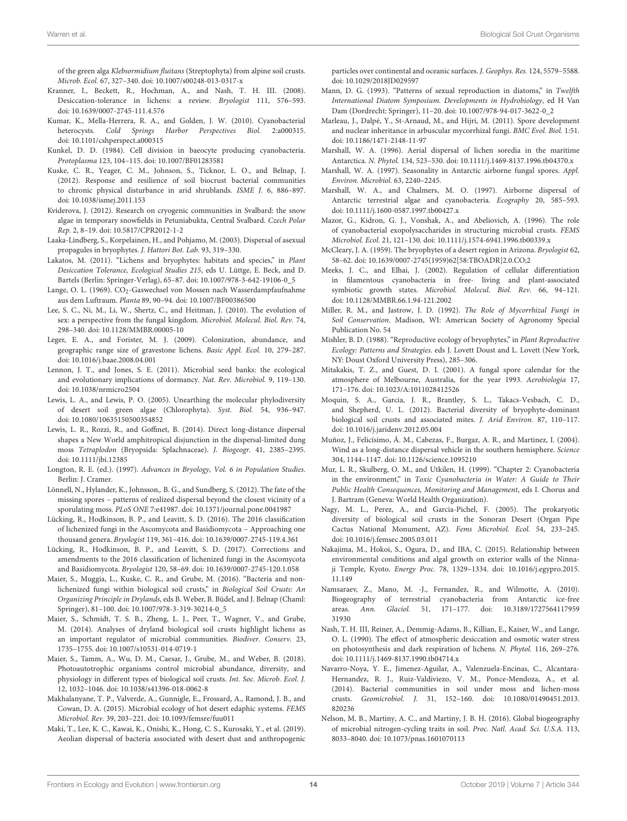of the green alga Klebsormidium fluitans (Streptophyta) from alpine soil crusts. Microb. Ecol. 67, 327–340. doi: [10.1007/s00248-013-0317-x](https://doi.org/10.1007/s00248-013-0317-x)

- <span id="page-13-23"></span>Kranner, I., Beckett, R., Hochman, A., and Nash, T. H. III. (2008). Desiccation-tolerance in lichens: a review. Bryologist 111, 576–593. doi: [10.1639/0007-2745-111.4.576](https://doi.org/10.1639/0007-2745-111.4.576)
- <span id="page-13-0"></span>Kumar, K., Mella-Herrera, R. A., and Golden, J. W. (2010). Cyanobacterial heterocysts. Cold Springs Harbor Perspectives Biol. 2:a000315. doi: [10.1101/cshperspect.a000315](https://doi.org/10.1101/cshperspect.a000315)
- <span id="page-13-3"></span>Kunkel, D. D. (1984). Cell division in baeocyte producing cyanobacteria. Protoplasma 123, 104–115. doi: [10.1007/BF01283581](https://doi.org/10.1007/BF01283581)
- <span id="page-13-12"></span>Kuske, C. R., Yeager, C. M., Johnson, S., Ticknor, L. O., and Belnap, J. (2012). Response and resilience of soil biocrust bacterial communities to chronic physical disturbance in arid shrublands. ISME J. 6, 886–897. doi: [10.1038/ismej.2011.153](https://doi.org/10.1038/ismej.2011.153)
- <span id="page-13-28"></span>Kvíderova, J. (2012). Research on cryogenic communities in Svalbard: the snow algae in temporary snowfields in Petuniabukta, Central Svalbard. Czech Polar Rep. 2, 8–19. doi: [10.5817/CPR2012-1-2](https://doi.org/10.5817/CPR2012-1-2)
- <span id="page-13-38"></span>Laaka-Lindberg, S., Korpelainen, H., and Pohjamo, M. (2003). Dispersal of asexual propagules in bryophytes. J. Hattori Bot. Lab. 93, 319–330.
- <span id="page-13-33"></span>Lakatos, M. (2011). "Lichens and bryophytes: habitats and species," in Plant Desiccation Tolerance, Ecological Studies 215, eds U. Lüttge, E. Beck, and D. Bartels (Berlin: Springer-Verlag), 65–87. doi: [10.1007/978-3-642-19106-0\\_5](https://doi.org/10.1007/978-3-642-19106-0_5)
- <span id="page-13-32"></span>Lange, O. L. (1969). CO<sub>2</sub>-Gaswechsel von Mossen nach Wasserdampfaufnahme aus dem Luftraum. Planta 89, 90–94. doi: [10.1007/BF00386500](https://doi.org/10.1007/BF00386500)
- <span id="page-13-16"></span>Lee, S. C., Ni, M., Li, W., Shertz, C., and Heitman, J. (2010). The evolution of sex: a perspective from the fungal kingdom. Microbiol. Molecul. Biol. Rev. 74, 298–340. doi: [10.1128/MMBR.00005-10](https://doi.org/10.1128/MMBR.00005-10)
- <span id="page-13-21"></span>Leger, E. A., and Forister, M. J. (2009). Colonization, abundance, and geographic range size of gravestone lichens. Basic Appl. Ecol. 10, 279–287. doi: [10.1016/j.baae.2008.04.001](https://doi.org/10.1016/j.baae.2008.04.001)
- <span id="page-13-8"></span>Lennon, J. T., and Jones, S. E. (2011). Microbial seed banks: the ecological and evolutionary implications of dormancy. Nat. Rev. Microbiol. 9, 119–130. doi: [10.1038/nrmicro2504](https://doi.org/10.1038/nrmicro2504)
- <span id="page-13-27"></span>Lewis, L. A., and Lewis, P. O. (2005). Unearthing the molecular phylodiversity of desert soil green algae (Chlorophyta). Syst. Biol. 54, 936–947. doi: [10.1080/10635150500354852](https://doi.org/10.1080/10635150500354852)
- <span id="page-13-39"></span>Lewis, L. R., Rozzi, R., and Goffinet, B. (2014). Direct long-distance dispersal shapes a New World amphitropical disjunction in the dispersal-limited dung moss Tetraplodon (Bryopsida: Splachnaceae). J. Biogeogr. 41, 2385–2395. doi: [10.1111/jbi.12385](https://doi.org/10.1111/jbi.12385)
- <span id="page-13-36"></span>Longton, R. E. (ed.). (1997). Advances in Bryology, Vol. 6 in Population Studies. Berlin: J. Cramer.
- <span id="page-13-37"></span>Lönnell, N., Hylander, K., Johnsson,. B. G., and Sundberg, S. (2012). The fate of the missing spores – patterns of realized dispersal beyond the closest vicinity of a sporulating moss. PLoS ONE 7:e41987. doi: [10.1371/journal.pone.0041987](https://doi.org/10.1371/journal.pone.0041987)
- <span id="page-13-19"></span>Lücking, R., Hodkinson, B. P., and Leavitt, S. D. (2016). The 2016 classification of lichenized fungi in the Ascomycota and Basidiomycota – Approaching one thousand genera. Bryologist 119, 361–416. doi: [10.1639/0007-2745-119.4.361](https://doi.org/10.1639/0007-2745-119.4.361)
- <span id="page-13-20"></span>Lücking, R., Hodkinson, B. P., and Leavitt, S. D. (2017). Corrections and amendments to the 2016 classification of lichenized fungi in the Ascomycota and Basidiomycota. Bryologist 120, 58–69. doi: [10.1639/0007-2745-120.1.058](https://doi.org/10.1639/0007-2745-120.1.058)
- <span id="page-13-15"></span>Maier, S., Muggia, L., Kuske, C. R., and Grube, M. (2016). "Bacteria and nonlichenized fungi within biological soil crusts," in Biological Soil Crusts: An Organizing Principle in Drylands, eds B. Weber, B. Büdel, and J. Belnap (Chaml: Springer), 81–100. doi: [10.1007/978-3-319-30214-0\\_5](https://doi.org/10.1007/978-3-319-30214-0_5)
- <span id="page-13-10"></span>Maier, S., Schmidt, T. S. B., Zheng, L. J., Peer, T., Wagner, V., and Grube, M. (2014). Analyses of dryland biological soil crusts highlight lichens as an important regulator of microbial communities. Biodiver. Conserv. 23, 1735–1755. doi: [10.1007/s10531-014-0719-1](https://doi.org/10.1007/s10531-014-0719-1)
- <span id="page-13-6"></span>Maier, S., Tamm, A., Wu, D. M., Caesar, J., Grube, M., and Weber, B. (2018). Photoautotrophic organisms control microbial abundance, diversity, and physiology in different types of biological soil crusts. Int. Soc. Microb. Ecol. J. 12, 1032–1046. doi: [10.1038/s41396-018-0062-8](https://doi.org/10.1038/s41396-018-0062-8)
- <span id="page-13-5"></span>Makhalanyane, T. P., Valverde, A., Gunnigle, E., Frossard, A., Ramond, J. B., and Cowan, D. A. (2015). Microbial ecology of hot desert edaphic systems. FEMS Microbiol. Rev. 39, 203–221. doi: [10.1093/femsre/fuu011](https://doi.org/10.1093/femsre/fuu011)
- <span id="page-13-41"></span>Maki, T., Lee, K. C., Kawai, K., Onishi, K., Hong, C. S., Kurosaki, Y., et al. (2019). Aeolian dispersal of bacteria associated with desert dust and anthropogenic

particles over continental and oceanic surfaces. J. Geophys. Res. 124, 5579–5588. doi: [10.1029/2018JD029597](https://doi.org/10.1029/2018JD029597)

- <span id="page-13-31"></span>Mann, D. G. (1993). "Patterns of sexual reproduction in diatoms," in Twelfth International Diatom Symposium. Developments in Hydrobiology, ed H Van Dam (Dordrecht: Springer), 11–20. doi: [10.1007/978-94-017-3622-0\\_2](https://doi.org/10.1007/978-94-017-3622-0_2)
- <span id="page-13-26"></span>Marleau, J., Dalpé, Y., St-Arnaud, M., and Hijri, M. (2011). Spore development and nuclear inheritance in arbuscular mycorrhizal fungi. BMC Evol. Biol. 1:51. doi: [10.1186/1471-2148-11-97](https://doi.org/10.1186/1471-2148-11-97)
- <span id="page-13-24"></span>Marshall, W. A. (1996). Aerial dispersal of lichen soredia in the maritime Antarctica. N. Phytol. 134, 523–530. doi: [10.1111/j.1469-8137.1996.tb04370.x](https://doi.org/10.1111/j.1469-8137.1996.tb04370.x)
- <span id="page-13-17"></span>Marshall, W. A. (1997). Seasonality in Antarctic airborne fungal spores. Appl. Environ. Microbiol. 63, 2240–2245.
- <span id="page-13-29"></span>Marshall, W. A., and Chalmers, M. O. (1997). Airborne dispersal of Antarctic terrestrial algae and cyanobacteria. Ecography 20, 585–593. doi: [10.1111/j.1600-0587.1997.tb00427.x](https://doi.org/10.1111/j.1600-0587.1997.tb00427.x)
- <span id="page-13-9"></span>Mazor, G., Kidron, G. J., Vonshak, A., and Abeliovich, A. (1996). The role of cyanobacterial exopolysaccharides in structuring microbial crusts. FEMS Microbiol. Ecol. 21, 121–130. doi: [10.1111/j.1574-6941.1996.tb00339.x](https://doi.org/10.1111/j.1574-6941.1996.tb00339.x)
- <span id="page-13-34"></span>McCleary, J. A. (1959). The bryophytes of a desert region in Arizona. Bryologist 62, 58–62. doi: [10.1639/0007-2745\(1959\)62\[58:TBOADR\]2.0.CO;2](https://doi.org/10.1639/0007-2745(1959)62[58:TBOADR]2.0.CO;2)
- <span id="page-13-2"></span>Meeks, J. C., and Elhai, J. (2002). Regulation of cellular differentiation in filamentous cyanobacteria in free- living and plant-associated symbiotic growth states. Microbiol. Molecul. Biol. Rev. 66, 94–121. doi: [10.1128/MMBR.66.1.94-121.2002](https://doi.org/10.1128/MMBR.66.1.94-121.2002)
- <span id="page-13-25"></span>Miller, R. M., and Jastrow, J. D. (1992). The Role of Mycorrhizal Fungi in Soil Conservation. Madison, WI: American Society of Agronomy Special Publication No. 54
- <span id="page-13-35"></span>Mishler, B. D. (1988). "Reproductive ecology of bryophytes," in Plant Reproductive Ecology: Patterns and Strategies. eds J. Lovett Doust and L. Lovett (New York, NY: Doust Oxford University Press), 285–306.
- <span id="page-13-18"></span>Mitakakis, T. Z., and Guest, D. I. (2001). A fungal spore calendar for the atmosphere of Melbourne, Australia, for the year 1993. Aerobiologia 17, 171–176. doi: [10.1023/A:1011028412526](https://doi.org/10.1023/A:1011028412526)
- <span id="page-13-13"></span>Moquin, S. A., Garcia, J. R., Brantley, S. L., Takacs-Vesbach, C. D., and Shepherd, U. L. (2012). Bacterial diversity of bryophyte-dominant biological soil crusts and associated mites. J. Arid Environ. 87, 110–117. doi: [10.1016/j.jaridenv.2012.05.004](https://doi.org/10.1016/j.jaridenv.2012.05.004)
- <span id="page-13-40"></span>Muñoz, J., Felicísimo, Á. M., Cabezas, F., Burgaz, A. R., and Martinez, I. (2004). Wind as a long-distance dispersal vehicle in the southern hemisphere. Science 304, 1144–1147. doi: [10.1126/science.1095210](https://doi.org/10.1126/science.1095210)
- <span id="page-13-1"></span>Mur, L. R., Skulberg, O. M., and Utkilen, H. (1999). "Chapter 2: Cyanobacteria in the environment," in Toxic Cyanobacteria in Water: A Guide to Their Public Health Consequences, Monitoring and Management, eds I. Chorus and J. Bartram (Geneva: World Health Organization).
- <span id="page-13-11"></span>Nagy, M. L., Perez, A., and Garcia-Pichel, F. (2005). The prokaryotic diversity of biological soil crusts in the Sonoran Desert (Organ Pipe Cactus National Monument, AZ). Fems Microbiol. Ecol. 54, 233–245. doi: [10.1016/j.femsec.2005.03.011](https://doi.org/10.1016/j.femsec.2005.03.011)
- <span id="page-13-30"></span>Nakajima, M., Hokoi, S., Ogura, D., and IBA, C. (2015). Relationship between environmental conditions and algal growth on exterior walls of the Ninnaji Temple, Kyoto. Energy Proc. [78, 1329–1334. doi: 10.1016/j.egypro.2015.](https://doi.org/10.1016/j.egypro.2015.11.149) 11.149
- <span id="page-13-4"></span>Namsaraev, Z., Mano, M. -J., Fernandez, R., and Wilmotte, A. (2010). Biogeography of terrestrial cyanobacteria from Antarctic ice-free areas. Ann. Glaciol. [51, 171–177. doi: 10.3189/1727564117959](https://doi.org/10.3189/172756411795931930) 31930
- <span id="page-13-22"></span>Nash, T. H. III, Reiner, A., Demmig-Adams, B., Killian, E., Kaiser, W., and Lange, O. L. (1990). The effect of atmospheric desiccation and osmotic water stress on photosynthesis and dark respiration of lichens. N. Phytol. 116, 269–276. doi: [10.1111/j.1469-8137.1990.tb04714.x](https://doi.org/10.1111/j.1469-8137.1990.tb04714.x)
- <span id="page-13-14"></span>Navarro-Noya, Y. E., Jimenez-Aguilar, A., Valenzuela-Encinas, C., Alcantara-Hernandez, R. J., Ruiz-Valdiviezo, V. M., Ponce-Mendoza, A., et al. (2014). Bacterial communities in soil under moss and lichen-moss crusts. Geomicrobiol. J. [31, 152–160. doi: 10.1080/01490451.2013.](https://doi.org/10.1080/01490451.2013.820236) 820236
- <span id="page-13-7"></span>Nelson, M. B., Martiny, A. C., and Martiny, J. B. H. (2016). Global biogeography of microbial nitrogen-cycling traits in soil. Proc. Natl. Acad. Sci. U.S.A. 113, 8033–8040. doi: [10.1073/pnas.1601070113](https://doi.org/10.1073/pnas.1601070113)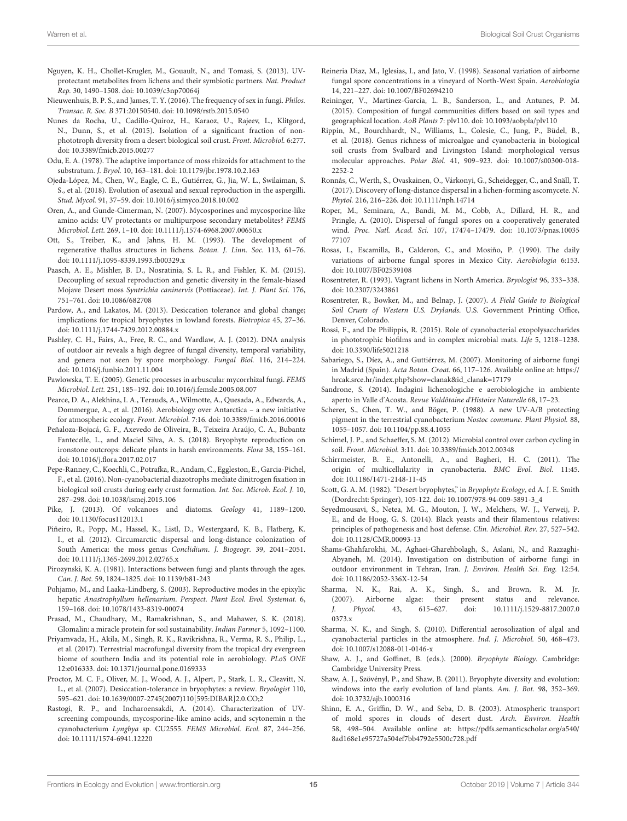- <span id="page-14-30"></span>Nguyen, K. H., Chollet-Krugler, M., Gouault, N., and Tomasi, S. (2013). UVprotectant metabolites from lichens and their symbiotic partners. Nat. Product Rep. 30, 1490–1508. doi: [10.1039/c3np70064j](https://doi.org/10.1039/c3np70064j)
- <span id="page-14-12"></span>Nieuwenhuis, B. P. S., and James, T. Y. (2016). The frequency of sex in fungi. Philos. Transac. R. Soc. B 371:20150540. doi: [10.1098/rstb.2015.0540](https://doi.org/10.1098/rstb.2015.0540)
- <span id="page-14-7"></span>Nunes da Rocha, U., Cadillo-Quiroz, H., Karaoz, U., Rajeev, L., Klitgord, N., Dunn, S., et al. (2015). Isolation of a significant fraction of nonphototroph diversity from a desert biological soil crust. Front. Microbiol. 6:277. doi: [10.3389/fmicb.2015.00277](https://doi.org/10.3389/fmicb.2015.00277)
- <span id="page-14-38"></span>Odu, E. A. (1978). The adaptive importance of moss rhizoids for attachment to the substratum. J. Bryol. 10, 163–181. doi: [10.1179/jbr.1978.10.2.163](https://doi.org/10.1179/jbr.1978.10.2.163)
- <span id="page-14-13"></span>Ojeda-López, M., Chen, W., Eagle, C. E., Gutiérrez, G., Jia, W. L., Swilaiman, S. S., et al. (2018). Evolution of asexual and sexual reproduction in the aspergilli. Stud. Mycol. 91, 37–59. doi: [10.1016/j.simyco.2018.10.002](https://doi.org/10.1016/j.simyco.2018.10.002)
- <span id="page-14-11"></span>Oren, A., and Gunde-Cimerman, N. (2007). Mycosporines and mycosporine-like amino acids: UV protectants or multipurpose secondary metabolites? FEMS Microbiol. Lett. 269, 1–10. doi: [10.1111/j.1574-6968.2007.00650.x](https://doi.org/10.1111/j.1574-6968.2007.00650.x)
- <span id="page-14-24"></span>Ott, S., Treiber, K., and Jahns, H. M. (1993). The development of regenerative thallus structures in lichens. Botan. J. Linn. Soc. 113, 61–76. doi: [10.1111/j.1095-8339.1993.tb00329.x](https://doi.org/10.1111/j.1095-8339.1993.tb00329.x)
- <span id="page-14-39"></span>Paasch, A. E., Mishler, B. D., Nosratinia, S. L. R., and Fishler, K. M. (2015). Decoupling of sexual reproduction and genetic diversity in the female-biased Mojave Desert moss Syntrichia caninervis (Pottiaceae). Int. J. Plant Sci. 176, 751–761. doi: [10.1086/682708](https://doi.org/10.1086/682708)
- <span id="page-14-34"></span>Pardow, A., and Lakatos, M. (2013). Desiccation tolerance and global change; implications for tropical bryophytes in lowland forests. Biotropica 45, 27–36. doi: [10.1111/j.1744-7429.2012.00884.x](https://doi.org/10.1111/j.1744-7429.2012.00884.x)
- <span id="page-14-29"></span>Pashley, C. H., Fairs, A., Free, R. C., and Wardlaw, A. J. (2012). DNA analysis of outdoor air reveals a high degree of fungal diversity, temporal variability, and genera not seen by spore morphology. Fungal Biol. 116, 214–224. doi: [10.1016/j.funbio.2011.11.004](https://doi.org/10.1016/j.funbio.2011.11.004)
- <span id="page-14-28"></span>Pawlowska, T. E. (2005). Genetic processes in arbuscular mycorrhizal fungi. FEMS Microbiol. Lett. 251, 185–192. doi: [10.1016/j.femsle.2005.08.007](https://doi.org/10.1016/j.femsle.2005.08.007)
- <span id="page-14-33"></span>Pearce, D. A., Alekhina, I. A., Terauds, A., Wilmotte, A., Quesada, A., Edwards, A., Dommergue, A., et al. (2016). Aerobiology over Antarctica – a new initiative for atmospheric ecology. Front. Microbiol. 7:16. doi: [10.3389/fmicb.2016.00016](https://doi.org/10.3389/fmicb.2016.00016)
- <span id="page-14-41"></span>Peñaloza-Bojacá, G. F., Axevedo de Oliveira, B., Teixeira Araújo, C. A., Bubantz Fantecelle, L., and Maciel Silva, A. S. (2018). Bryophyte reproduction on ironstone outcrops: delicate plants in harsh environments. Flora 38, 155–161. doi: [10.1016/j.flora.2017.02.017](https://doi.org/10.1016/j.flora.2017.02.017)
- <span id="page-14-9"></span>Pepe-Ranney, C., Koechli, C., Potrafka, R., Andam, C., Eggleston, E., Garcia-Pichel, F., et al. (2016). Non-cyanobacterial diazotrophs mediate dinitrogen fixation in biological soil crusts during early crust formation. Int. Soc. Microb. Ecol. J. 10, 287–298. doi: [10.1038/ismej.2015.106](https://doi.org/10.1038/ismej.2015.106)
- <span id="page-14-32"></span>Pike, J. (2013). Of volcanoes and diatoms. Geology 41, 1189–1200. doi: [10.1130/focus112013.1](https://doi.org/10.1130/focus112013.1)
- <span id="page-14-42"></span>Piñeiro, R., Popp, M., Hassel, K., Listl, D., Westergaard, K. B., Flatberg, K. I., et al. (2012). Circumarctic dispersal and long-distance colonization of South America: the moss genus Conclidium. J. Biogeogr. 39, 2041–2051. doi: [10.1111/j.1365-2699.2012.02765.x](https://doi.org/10.1111/j.1365-2699.2012.02765.x)
- <span id="page-14-26"></span>Pirozynski, K. A. (1981). Interactions between fungi and plants through the ages. Can. J. Bot. 59, 1824–1825. doi: [10.1139/b81-243](https://doi.org/10.1139/b81-243)
- <span id="page-14-40"></span>Pohjamo, M., and Laaka-Lindberg, S. (2003). Reproductive modes in the epixylic hepatic Anastrophyllum hellenarium. Perspect. Plant Ecol. Evol. Systemat. 6, 159–168. doi: [10.1078/1433-8319-00074](https://doi.org/10.1078/1433-8319-00074)
- <span id="page-14-27"></span>Prasad, M., Chaudhary, M., Ramakrishnan, S., and Mahawer, S. K. (2018). Glomalin: a miracle protein for soil sustainability. Indian Farmer 5, 1092–1100.
- <span id="page-14-16"></span>Priyamvada, H., Akila, M., Singh, R. K., Ravikrishna, R., Verma, R. S., Philip, L., et al. (2017). Terrestrial macrofungal diversity from the tropical dry evergreen biome of southern India and its potential role in aerobiology. PLoS ONE 12:e016333. doi: [10.1371/journal.pone.0169333](https://doi.org/10.1371/journal.pone.0169333)
- <span id="page-14-37"></span>Proctor, M. C. F., Oliver, M. J., Wood, A. J., Alpert, P., Stark, L. R., Cleavitt, N. L., et al. (2007). Desiccation-tolerance in bryophytes: a review. Bryologist 110, 595–621. doi: [10.1639/0007-2745\(2007\)110\[595:DIBAR\]2.0.CO;2](https://doi.org/10.1639/0007-2745(2007)110[595:DIBAR]2.0.CO;2)
- <span id="page-14-4"></span>Rastogi, R. P., and Incharoensakdi, A. (2014). Characterization of UVscreening compounds, mycosporine-like amino acids, and scytonemin n the cyanobacterium Lyngbya sp. CU2555. FEMS Microbiol. Ecol. 87, 244–256. doi: [10.1111/1574-6941.12220](https://doi.org/10.1111/1574-6941.12220)
- <span id="page-14-21"></span>Reineria Diaz, M., Iglesias, I., and Jato, V. (1998). Seasonal variation of airborne fungal spore concentrations in a vineyard of North-West Spain. Aerobiologia 14, 221–227. doi: [10.1007/BF02694210](https://doi.org/10.1007/BF02694210)
- <span id="page-14-10"></span>Reininger, V., Martinez-Garcia, L. B., Sanderson, L., and Antunes, P. M. (2015). Composition of fungal communities differs based on soil types and geographical location. AoB Plants 7: plv110. doi: [10.1093/aobpla/plv110](https://doi.org/10.1093/aobpla/plv110)
- <span id="page-14-5"></span>Rippin, M., Bourchhardt, N., Williams, L., Colesie, C., Jung, P., Büdel, B., et al. (2018). Genus richness of microalgae and cyanobacteria in biological soil crusts from Svalbard and Livingston Island: morphological versus molecular approaches. Polar Biol. [41, 909–923. doi: 10.1007/s00300-018-](https://doi.org/10.1007/s00300-018-2252-2) 2252-2
- <span id="page-14-25"></span>Ronnås, C., Werth, S., Ovaskainen, O., Várkonyi, G., Scheidegger, C., and Snäll, T. (2017). Discovery of long-distance dispersal in a lichen-forming ascomycete. N. Phytol. 216, 216–226. doi: [10.1111/nph.14714](https://doi.org/10.1111/nph.14714)
- <span id="page-14-15"></span>Roper, M., Seminara, A., Bandi, M. M., Cobb, A., Dillard, H. R., and Pringle, A. (2010). Dispersal of fungal spores on a cooperatively generated wind. Proc. Natl. Acad. Sci. [107, 17474–17479. doi: 10.1073/pnas.10035](https://doi.org/10.1073/pnas.1003577107) 77107
- <span id="page-14-19"></span>Rosas, I., Escamilla, B., Calderon, C., and Mosiño, P. (1990). The daily variations of airborne fungal spores in Mexico City. Aerobiologia 6:153. doi: [10.1007/BF02539108](https://doi.org/10.1007/BF02539108)
- <span id="page-14-23"></span>Rosentreter, R. (1993). Vagrant lichens in North America. Bryologist 96, 333–338. doi: [10.2307/3243861](https://doi.org/10.2307/3243861)
- <span id="page-14-3"></span>Rosentreter, R., Bowker, M., and Belnap, J. (2007). A Field Guide to Biological Soil Crusts of Western U.S. Drylands. U.S. Government Printing Office, Denver, Colorado.
- <span id="page-14-1"></span>Rossi, F., and De Philippis, R. (2015). Role of cyanobacterial exopolysaccharides in phototrophic biofilms and in complex microbial mats. Life 5, 1218–1238. doi: [10.3390/life5021218](https://doi.org/10.3390/life5021218)
- <span id="page-14-20"></span>Sabariego, S., Díez, A., and Guttiérrez, M. (2007). Monitoring of airborne fungi in Madrid (Spain). Acta Botan. Croat. 66, 117–126. Available online at: [https://](https://hrcak.srce.hr/index.php?show=clanak&id_clanak=17179) [hrcak.srce.hr/index.php?show=clanak&id\\_clanak=17179](https://hrcak.srce.hr/index.php?show=clanak&id_clanak=17179)
- <span id="page-14-18"></span>Sandrone, S. (2014). Indagini lichenologiche e aerobiologiche in ambiente aperto in Valle d'Acosta. Revue Valdôtaine d'Histoire Naturelle 68, 17–23.
- <span id="page-14-2"></span>Scherer, S., Chen, T. W., and Böger, P. (1988). A new UV-A/B protecting pigment in the terrestrial cyanobacterium Nostoc commune. Plant Physiol. 88, 1055–1057. doi: [10.1104/pp.88.4.1055](https://doi.org/10.1104/pp.88.4.1055)
- <span id="page-14-8"></span>Schimel, J. P., and Schaeffer, S. M. (2012). Microbial control over carbon cycling in soil. Front. Microbiol. 3:11. doi: [10.3389/fmicb.2012.00348](https://doi.org/10.3389/fmicb.2012.00348)
- <span id="page-14-0"></span>Schirrmeister, B. E., Antonelli, A., and Bagheri, H. C. (2011). The origin of multicellularity in cyanobacteria. BMC Evol. Biol. 11:45. doi: [10.1186/1471-2148-11-45](https://doi.org/10.1186/1471-2148-11-45)
- <span id="page-14-36"></span>Scott, G. A. M. (1982). "Desert bryophytes," in Bryophyte Ecology, ed A. J. E. Smith (Dordrecht: Springer), 105-122. doi: [10.1007/978-94-009-5891-3\\_4](https://doi.org/10.1007/978-94-009-5891-3_4)
- <span id="page-14-14"></span>Seyedmousavi, S., Netea, M. G., Mouton, J. W., Melchers, W. J., Verweij, P. E., and de Hoog, G. S. (2014). Black yeasts and their filamentous relatives: principles of pathogenesis and host defense. Clin. Microbiol. Rev. 27, 527–542. doi: [10.1128/CMR.00093-13](https://doi.org/10.1128/CMR.00093-13)
- <span id="page-14-17"></span>Shams-Ghahfarokhi, M., Aghaei-Gharehbolagh, S., Aslani, N., and Razzaghi-Abyaneh, M. (2014). Investigation on distribution of airborne fungi in outdoor environment in Tehran, Iran. J. Environ. Health Sci. Eng. 12:54. doi: [10.1186/2052-336X-12-54](https://doi.org/10.1186/2052-336X-12-54)
- <span id="page-14-31"></span>Sharma, N. K., Rai, A. K., Singh, S., and Brown, R. M. Jr. (2007). Airborne algae: their present status and relevance. J. Phycol. [43, 615–627. doi: 10.1111/j.1529-8817.2007.0](https://doi.org/10.1111/j.1529-8817.2007.00373.x) 0373.x
- <span id="page-14-6"></span>Sharma, N. K., and Singh, S. (2010). Differential aerosolization of algal and cyanobacterial particles in the atmosphere. Ind. J. Microbiol. 50, 468–473. doi: [10.1007/s12088-011-0146-x](https://doi.org/10.1007/s12088-011-0146-x)
- <span id="page-14-43"></span>Shaw, A. J., and Goffinet, B. (eds.). (2000). Bryophyte Biology. Cambridge: Cambridge University Press.
- <span id="page-14-35"></span>Shaw, A. J., Szövényl, P., and Shaw, B. (2011). Bryophyte diversity and evolution: windows into the early evolution of land plants. Am. J. Bot. 98, 352–369. doi: [10.3732/ajb.1000316](https://doi.org/10.3732/ajb.1000316)
- <span id="page-14-22"></span>Shinn, E. A., Griffin, D. W., and Seba, D. B. (2003). Atmospheric transport of mold spores in clouds of desert dust. Arch. Environ. Health 58, 498–504. Available online at: [https://pdfs.semanticscholar.org/a540/](https://pdfs.semanticscholar.org/a540/8ad168e1e95727a504ef7bb4792e5500c728.pdf) [8ad168e1e95727a504ef7bb4792e5500c728.pdf](https://pdfs.semanticscholar.org/a540/8ad168e1e95727a504ef7bb4792e5500c728.pdf)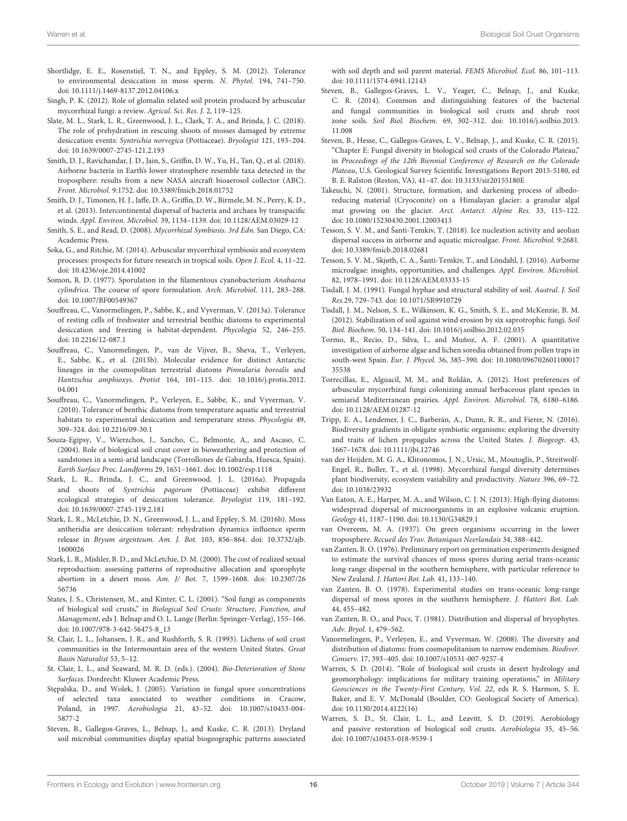- <span id="page-15-30"></span>Shortlidge, E. E., Rosenstiel, T. N., and Eppley, S. M. (2012). Tolerance to environmental desiccation in moss sperm. N. Phytol. 194, 741–750. doi: [10.1111/j.1469-8137.2012.04106.x](https://doi.org/10.1111/j.1469-8137.2012.04106.x)
- <span id="page-15-18"></span>Singh, P. K. (2012). Role of glomalin related soil protein produced by arbuscular mycorrhizal fungi: a review. Agricul. Sci. Res. J. 2, 119–125.
- <span id="page-15-29"></span>Slate, M. L., Stark, L. R., Greenwood, J. L., Clark, T. A., and Brinda, J. C. (2018). The role of prehydration in rescuing shoots of mosses damaged by extreme desiccation events: Syntrichia norvegica (Pottiaceae). Bryologist 121, 193–204. doi: [10.1639/0007-2745-121.2.193](https://doi.org/10.1639/0007-2745-121.2.193)
- <span id="page-15-38"></span>Smith, D. J., Ravichandar, J. D., Jain, S., Griffin, D. W., Yu, H., Tan, Q., et al. (2018). Airborne bacteria in Earth's lower stratosphere resemble taxa detected in the troposphere: results from a new NASA aircraft bioaerosol collector (ABC). Front. Microbiol. 9:1752. doi: [10.3389/fmicb.2018.01752](https://doi.org/10.3389/fmicb.2018.01752)
- <span id="page-15-37"></span>Smith, D. J., Timonen, H. J., Jaffe, D. A., Griffin, D. W., Birmele, M. N., Perry, K. D., et al. (2013). Intercontinental dispersal of bacteria and archaea by transpacific winds. Appl. Environ. Microbiol. 39, 1134–1139. doi: [10.1128/AEM.03029-12](https://doi.org/10.1128/AEM.03029-12)
- <span id="page-15-14"></span>Smith, S. E., and Read, D. (2008). Mycorrhizal Symbiosis. 3rd Edn. San Diego, CA: Academic Press.
- <span id="page-15-17"></span>Soka, G., and Ritchie, M. (2014). Arbuscular mycorrhizal symbiosis and ecosystem processes: prospects for future research in tropical soils. Open J. Ecol. 4, 11–22. doi: [10.4236/oje.2014.41002](https://doi.org/10.4236/oje.2014.41002)
- <span id="page-15-0"></span>Somon, R. D. (1977). Sporulation in the filamentous cyanobacterium Anabaena cylindrica. The course of spore formulation. Arch. Microbiol. 111, 283–288. doi: [10.1007/BF00549367](https://doi.org/10.1007/BF00549367)
- <span id="page-15-24"></span>Souffreau, C., Vanormelingen, P., Sabbe, K., and Vyverman, V. (2013a). Tolerance of resting cells of freshwater and terrestrial benthic diatoms to experimental desiccation and freezing is habitat-dependent. Phycologia 52, 246–255. doi: [10.2216/12-087.1](https://doi.org/10.2216/12-087.1)
- <span id="page-15-26"></span>Souffreau, C., Vanormelingen, P., van de Vijver, B., Sheva, T., Verleyen, E., Sabbe, K., et al. (2013b). Molecular evidence for distinct Antarctic lineages in the cosmopolitan terrestrial diatoms Pinnularia borealis and Hantzschia amphioxys. Protist [164, 101–115. doi: 10.1016/j.protis.2012.](https://doi.org/10.1016/j.protis.2012.04.001) 04.001
- <span id="page-15-25"></span>Souffreau, C., Vanormelingen, P., Verleyen, E., Sabbe, K., and Vyverman, V. (2010). Tolerance of benthic diatoms from temperature aquatic and terrestrial habitats to experimental desiccation and temperature stress. Phycologia 49, 309–324. doi: [10.2216/09-30.1](https://doi.org/10.2216/09-30.1)
- <span id="page-15-11"></span>Souza-Egipsy, V., Wierzchos, J., Sancho, C., Belmonte, A., and Ascaso, C. (2004). Role of biological soil crust cover in bioweathering and protection of sandstones in a semi-arid landscape (Torrollones de Gabarda, Huesca, Spain). Earth Surface Proc. Landforms 29, 1651–1661. doi: [10.1002/esp.1118](https://doi.org/10.1002/esp.1118)
- <span id="page-15-32"></span>Stark, L. R., Brinda, J. C., and Greenwood, J. L. (2016a). Propagula and shoots of Syntrichia pagorum (Pottiaceae) exhibit different ecological strategies of desiccation tolerance. Bryologist 119, 181–192. doi: [10.1639/0007-2745-119.2.181](https://doi.org/10.1639/0007-2745-119.2.181)
- <span id="page-15-31"></span>Stark, L. R., McLetchie, D. N., Greenwood, J. L., and Eppley, S. M. (2016b). Moss antheridia are desiccation tolerant: rehydration dynamics influence sperm release in Bryum argenteum. Am. J. Bot. [103, 856–864. doi: 10.3732/ajb.](https://doi.org/10.3732/ajb.1600026) 1600026
- <span id="page-15-33"></span>Stark, L. R., Mishler, B. D., and McLetchie, D. M. (2000). The cost of realized sexual reproduction: assessing patterns of reproductive allocation and sporophyte abortion in a desert moss. Am. J/ Bot. [7, 1599–1608. doi: 10.2307/26](https://doi.org/10.2307/2656736) 56736
- <span id="page-15-5"></span>States, J. S., Christensen, M., and Kinter, C. L. (2001). "Soil fungi as components of biological soil crusts," in Biological Soil Crusts: Structure, Function, and Management, eds J. Belnap and O. L. Lange (Berlin: Springer-Verlag), 155–166. doi: [10.1007/978-3-642-56475-8\\_13](https://doi.org/10.1007/978-3-642-56475-8_13)
- <span id="page-15-9"></span>St. Clair, L. L., Johansen, J. R., and Rushforth, S. R. (1993). Lichens of soil crust communities in the Intermountain area of the western United States. Great Basin Naturalist 53, 5–12.
- <span id="page-15-10"></span>St. Clair, L. L., and Seaward, M. R. D. (eds.). (2004). Bio-Deterioration of Stone Surfaces. Dordrecht: Kluwer Academic Press.
- <span id="page-15-8"></span>Stępalska, D., and Wolek, J. (2005). Variation in fungal spore concentrations of selected taxa associated to weather conditions in Cracow, Poland, in 1997. Aerobiologia [21, 43–52. doi: 10.1007/s10453-004-](https://doi.org/10.1007/s10453-004-5877-2) 5877-2
- <span id="page-15-3"></span>Steven, B., Gallegos-Graves, L., Belnap, J., and Kuske, C. R. (2013). Dryland soil microbial communities display spatial biogeographic patterns associated

with soil depth and soil parent material. FEMS Microbiol. Ecol. 86, 101–113. doi: [10.1111/1574-6941.12143](https://doi.org/10.1111/1574-6941.12143)

- <span id="page-15-4"></span>Steven, B., Gallegos-Graves, L. V., Yeager, C., Belnap, J., and Kuske, C. R. (2014). Common and distinguishing features of the bacterial and fungal communities in biological soil crusts and shrub root zone soils. Soil Biol. Biochem. [69, 302–312. doi: 10.1016/j.soilbio.2013.](https://doi.org/10.1016/j.soilbio.2013.11.008) 11.008
- <span id="page-15-6"></span>Steven, B., Hesse, C., Gallegos-Graves, L. V., Belnap, J., and Kuske, C. R. (2015). "Chapter E: Fungal diversity in biological soil crusts of the Colorado Plateau," in Proceedings of the 12th Biennial Conference of Research on the Colorado Plateau, U.S. Geological Survey Scientific Investigations Report 2015-5180, ed B. E. Ralston (Reston, VA), 41–47. doi: [10.3133/sir20155180E](https://doi.org/10.3133/sir20155180E)
- <span id="page-15-21"></span>Takeuchi, N. (2001). Structure, formation, and darkening process of albedoreducing material (Cryoconite) on a Himalayan glacier: a granular algal mat growing on the glacier. Arct. Antarct. Alpine Res. 33, 115–122. doi: [10.1080/15230430.2001.12003413](https://doi.org/10.1080/15230430.2001.12003413)
- <span id="page-15-23"></span>Tesson, S. V. M., and Šanti-Temkiv, T. (2018). Ice nucleation activity and aeolian dispersal success in airborne and aquatic microalgae. Front. Microbiol. 9:2681. doi: [10.3389/fmicb.2018.02681](https://doi.org/10.3389/fmicb.2018.02681)
- <span id="page-15-20"></span>Tesson, S. V. M., Skjøth, C. A., Šanti-Temkiv, T., and Löndahl, J. (2016). Airborne microalgae: insights, opportunities, and challenges. Appl. Environ. Microbiol. 82, 1978–1991. doi: [10.1128/AEM.03333-15](https://doi.org/10.1128/AEM.03333-15)
- <span id="page-15-7"></span>Tisdall, J. M. (1991). Fungal hyphae and structural stability of soil. Austral. J. Soil Res.29, 729–743. doi: [10.1071/SR9910729](https://doi.org/10.1071/SR9910729)
- <span id="page-15-1"></span>Tisdall, J. M., Nelson, S. E., Wilkinson, K. G., Smith, S. E., and McKenzie, B. M. (2012). Stabilization of soil against wind erosion by six saprotrophic fungi. Soil Biol. Biochem. 50, 134–141. doi: [10.1016/j.soilbio.2012.02.035](https://doi.org/10.1016/j.soilbio.2012.02.035)
- <span id="page-15-12"></span>Tormo, R., Recio, D., Silva, I., and Muñoz, A. F. (2001). A quantitative investigation of airborne algae and lichen soredia obtained from pollen traps in south-west Spain. Eur. J. Phycol. [36, 385–390. doi: 10.1080/096702601100017](https://doi.org/10.1080/09670260110001735538) 35538
- <span id="page-15-15"></span>Torrecillas, E., Alguacil, M. M., and Roldán, A. (2012). Host preferences of arbuscular mycorrhizal fungi colonizing annual herbaceous plant species in semiarid Mediterranean prairies. Appl. Environ. Microbiol. 78, 6180–6186. doi: [10.1128/AEM.01287-12](https://doi.org/10.1128/AEM.01287-12)
- <span id="page-15-13"></span>Tripp, E. A., Lendemer, J. C., Barberán, A., Dunn, R. R., and Fierer, N. (2016). Biodiversity gradients in obligate symbiotic organisms: exploring the diversity and traits of lichen propagules across the United States. J. Biogeogr. 43, 1667–1678. doi: [10.1111/jbi.12746](https://doi.org/10.1111/jbi.12746)
- <span id="page-15-16"></span>van der Heijden, M. G. A., Klironomos, J. N., Ursic, M., Moutoglis, P., Streitwolf-Engel, R., Boller, T., et al. (1998). Mycorrhizal fungal diversity determines plant biodiversity, ecosystem variability and productivity. Nature 396, 69–72. doi: [10.1038/23932](https://doi.org/10.1038/23932)
- <span id="page-15-27"></span>Van Eaton, A. E., Harper, M. A., and Wilson, C. J. N. (2013). High-flying diatoms: widespread dispersal of microorganisms in an explosive volcanic eruption. Geology 41, 1187–1190. doi: [10.1130/G34829.1](https://doi.org/10.1130/G34829.1)
- <span id="page-15-22"></span>van Overeem, M. A. (1937). On green organisms occurring in the lower troposphere. Recueil des Trav. Botaniques Neerlandais 34, 388–442.
- <span id="page-15-35"></span>van Zanten, B. O. (1976). Preliminary report on germination experiments designed to estimate the survival chances of moss spores during aerial trans-oceanic long-range dispersal in the southern hemisphere, with particular reference to New Zealand. J. Hattori Bot. Lab. 41, 133–140.
- <span id="page-15-34"></span>van Zanten, B. O. (1978). Experimental studies on trans-oceanic long-range dispersal of moss spores in the southern hemisphere. J. Hattori Bot. Lab. 44, 455–482.
- <span id="page-15-36"></span>van Zanten, B. O., and Pocs, T. (1981). Distribution and dispersal of bryophytes. Adv. Bryol. 1, 479–562.
- <span id="page-15-28"></span>Vanormelingen, P., Verleyen, E., and Vyverman, W. (2008). The diversity and distribution of diatoms: from cosmopolitanism to narrow endemism. Biodiver. Conserv. 17, 393–405. doi: [10.1007/s10531-007-9257-4](https://doi.org/10.1007/s10531-007-9257-4)
- <span id="page-15-19"></span>Warren, S. D. (2014). "Role of biological soil crusts in desert hydrology and geomorphology: implications for military training operations," in Military Geosciences in the Twenty-First Century, Vol. 22, eds R. S. Harmon, S. E. Baker, and E. V. McDonald (Boulder, CO: Geological Society of America). doi: [10.1130/2014.4122\(16\)](https://doi.org/10.1130/2014.4122(16))
- <span id="page-15-2"></span>Warren, S. D., St. Clair, L. L., and Leavitt, S. D. (2019). Aerobiology and passive restoration of biological soil crusts. Aerobiologia 35, 45–56. doi: [10.1007/s10453-018-9539-1](https://doi.org/10.1007/s10453-018-9539-1)